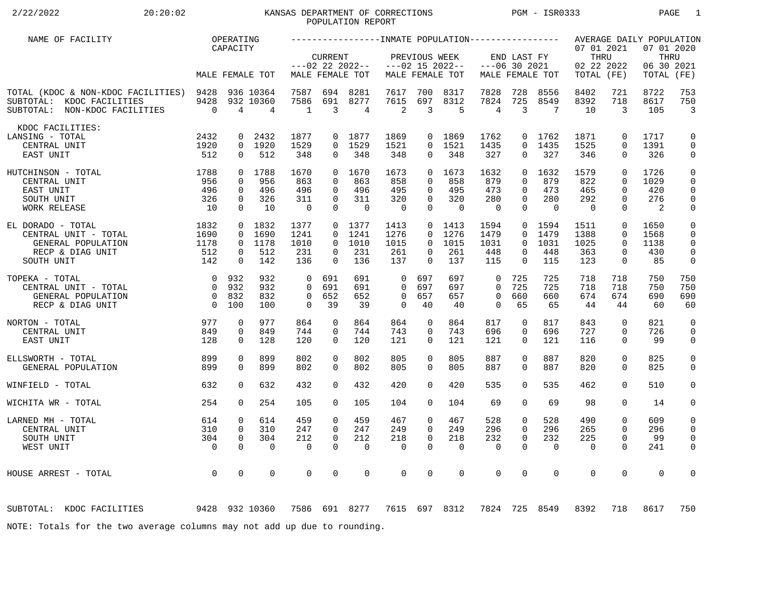# 2/22/2022 20:20:02 20:20:02 KANSAS DEPARTMENT OF CORRECTIONS PGM - ISR0333 PAGE 1 POPULATION REPORT

| NAME OF FACILITY                                                                                                         |                                                  | OPERATING<br>CAPACITY                                 |                                      |                                              |                                               |                                       |                                                       |                                                                   |                                        |                                                    |                                                         |                                       | 07 01 2021                            |                                                                   | AVERAGE DAILY POPULATION<br>07 01 2020                   |                                           |
|--------------------------------------------------------------------------------------------------------------------------|--------------------------------------------------|-------------------------------------------------------|--------------------------------------|----------------------------------------------|-----------------------------------------------|---------------------------------------|-------------------------------------------------------|-------------------------------------------------------------------|----------------------------------------|----------------------------------------------------|---------------------------------------------------------|---------------------------------------|---------------------------------------|-------------------------------------------------------------------|----------------------------------------------------------|-------------------------------------------|
|                                                                                                                          |                                                  |                                                       | MALE FEMALE TOT                      |                                              | <b>CURRENT</b>                                | $---02$ 22 2022--<br>MALE FEMALE TOT  |                                                       | PREVIOUS WEEK                                                     | $---02$ 15 2022--<br>MALE FEMALE TOT   |                                                    | END LAST FY<br>$---06$ 30 2021                          | MALE FEMALE TOT                       | THRU<br>02 22 2022<br>TOTAL (FE)      |                                                                   | 06 30 2021<br>TOTAL                                      | THRU<br>(FE)                              |
| TOTAL (KDOC & NON-KDOC FACILITIES) 9428<br>SUBTOTAL: KDOC FACILITIES<br>SUBTOTAL: NON-KDOC FACILITIES                    | 9428<br>$\overline{0}$                           | 4                                                     | 936 10364<br>932 10360<br>4          | 7587<br>7586<br>1                            | 694<br>691<br>3                               | 8281<br>8277<br>4                     | 7617<br>7615<br>2                                     | 700<br>697<br>3                                                   | 8317<br>8312<br>5                      | 7828<br>7824<br>$\overline{4}$                     | 728<br>725<br>3                                         | 8556<br>8549<br>7                     | 8402<br>8392<br>10                    | 721<br>718<br>3                                                   | 8722<br>8617<br>105                                      | 753<br>750<br>$\overline{3}$              |
| KDOC FACILITIES:<br>LANSING - TOTAL<br>CENTRAL UNIT<br>EAST UNIT                                                         | 2432<br>1920<br>512                              | 0<br>$\overline{0}$                                   | 2432<br>0 1920<br>512                | 1877<br>1529<br>348                          | $\mathbf 0$                                   | 0 1877<br>$0$ 1529<br>348             | 1869<br>1521<br>348                                   | $\overline{0}$<br>$\overline{0}$                                  | 1869<br>$0$ 1521<br>348                | 1762<br>1435<br>327                                | $\Omega$<br>0                                           | 0 1762<br>1435<br>327                 | 1871<br>1525<br>346                   | $\mathbf 0$<br>$\Omega$<br>$\mathbf 0$                            | 1717<br>1391<br>326                                      | $\mathbf 0$<br>$\mathbf 0$<br>$\mathbf 0$ |
| 1788<br>HUTCHINSON - TOTAL<br>CENTRAL UNIT<br>EAST UNIT<br>SOUTH UNIT<br>WORK RELEASE                                    | 956<br>496<br>326<br>10                          | $\mathbf 0$<br>$\mathbf 0$<br>$\mathbf 0$<br>$\Omega$ | 0 1788<br>956<br>496<br>326<br>10    | 1670<br>863<br>496<br>311<br>$\overline{0}$  | $\Omega$<br>0<br>0<br>$\mathbf 0$<br>$\Omega$ | 1670<br>863<br>496<br>311<br>$\Omega$ | 1673<br>858<br>495<br>320<br>$\overline{\phantom{0}}$ | $\Omega$<br>$\mathbf 0$<br>$\mathbf 0$<br>$\mathbf 0$<br>$\Omega$ | 1673<br>858<br>495<br>320<br>$\Omega$  | 1632<br>879<br>473<br>280<br>$\overline{0}$        | $\Omega$<br>0<br>$\Omega$<br>0<br>$\Omega$              | 1632<br>879<br>473<br>280<br>$\Omega$ | 1579<br>822<br>465<br>292<br>$\Omega$ | $\Omega$<br>$\mathbf 0$<br>$\mathbf 0$<br>$\mathbf 0$<br>$\Omega$ | 1726<br>1029<br>420<br>276<br>$\overline{\phantom{0}}^2$ | $\mathbf 0$<br>0<br>0<br>$\mathbf 0$<br>0 |
| EL DORADO - TOTAL<br>CENTRAL UNIT - TOTAL<br>GENERAL POPULATION<br>RECP & DIAG UNIT<br>SOUTH UNIT                        | 1832<br>$\frac{1690}{162}$<br>1178<br>512<br>142 | $\mathbf 0$<br>$\overline{0}$<br>0<br>$\mathbf 0$     | 0 1832<br>1690<br>1178<br>512<br>142 | 1377<br>1241<br>1010<br>231<br>136           | $\Omega$<br>$\Omega$<br>0<br>$\Omega$         | 0 1377<br>1241<br>1010<br>231<br>136  | 1413<br>1276<br>1015<br>261<br>137                    | $\Omega$<br>$\mathbf{0}$<br>$\mathbf{0}$<br>$\Omega$              | $0$ 1413<br>1276<br>1015<br>261<br>137 | 1594<br>1479<br>1031<br>448<br>115                 | $\overline{0}$<br>$\Omega$<br>$\Omega$<br>0<br>$\Omega$ | 1594<br>1479<br>1031<br>448<br>115    | 1511<br>1388<br>1025<br>363<br>123    | $\mathbf 0$<br>$\mathbf 0$<br>$\mathbf 0$<br>0<br>$\mathbf 0$     | 1650<br>1568<br>1138<br>430<br>85                        | 0<br>0<br>$\mathbf 0$<br>$\mathbf 0$<br>0 |
| TOPEKA - TOTAL<br>CENTRAL UNIT - TOTAL<br>GENERAL POPULATION<br>$\begin{matrix} 0 \\ 0 \end{matrix}$<br>RECP & DIAG UNIT | $\overline{0}$                                   | 0 932<br>932<br>0 832<br>100                          | 932<br>932<br>832<br>100             | $\Omega$<br>$\Omega$<br>$\Omega$<br>$\Omega$ | 691<br>691<br>652<br>39                       | 691<br>691<br>652<br>39               | $\Omega$<br>$\Omega$<br>$\Omega$<br>$\Omega$          | 697<br>697<br>657<br>40                                           | 697<br>697<br>657<br>40                | $\mathbf 0$<br>$\Omega$<br>$\mathbf 0$<br>$\Omega$ | 725<br>725<br>660<br>65                                 | 725<br>725<br>660<br>65               | 718<br>718<br>674<br>44               | 718<br>718<br>674<br>44                                           | 750<br>750<br>690<br>60                                  | 750<br>750<br>690<br>60                   |
| 977<br>NORTON - TOTAL<br>CENTRAL UNIT<br>EAST UNIT                                                                       | 849<br>128                                       | $\mathbf 0$<br>$\mathbf 0$<br>$\Omega$                | 977<br>849<br>128                    | 864<br>744<br>120                            | $\mathbf 0$<br>$\Omega$<br>$\Omega$           | 864<br>744<br>120                     | 864<br>743<br>121                                     | $\mathbf 0$<br>$\Omega$<br>$\Omega$                               | 864<br>743<br>121                      | 817<br>696<br>121                                  | $\mathbf 0$<br>$\Omega$<br>$\Omega$                     | 817<br>696<br>121                     | 843<br>727<br>116                     | $\Omega$<br>$\Omega$<br>$\Omega$                                  | 821<br>726<br>99                                         | $\mathbf 0$<br>$\mathbf 0$<br>$\mathbf 0$ |
| ELLSWORTH - TOTAL<br>GENERAL POPULATION                                                                                  | 899<br>899                                       | $\mathbf 0$<br>$\Omega$                               | 899<br>899                           | 802<br>802                                   | $\Omega$<br>$\Omega$                          | 802<br>802                            | 805<br>805                                            | $\mathbf 0$<br>$\Omega$                                           | 805<br>805                             | 887<br>887                                         | 0<br>$\Omega$                                           | 887<br>887                            | 820<br>820                            | $\mathbf 0$<br>$\Omega$                                           | 825<br>825                                               | $\mathbf 0$<br>$\mathbf 0$                |
| WINFIELD - TOTAL                                                                                                         | 632                                              | $\Omega$                                              | 632                                  | 432                                          | $\Omega$                                      | 432                                   | 420                                                   | $\Omega$                                                          | 420                                    | 535                                                | $\Omega$                                                | 535                                   | 462                                   | $\Omega$                                                          | 510                                                      | 0                                         |
| WICHITA WR - TOTAL                                                                                                       | 254                                              | $\Omega$                                              | 254                                  | 105                                          | $\Omega$                                      | 105                                   | 104                                                   | $\Omega$                                                          | 104                                    | 69                                                 | 0                                                       | 69                                    | 98                                    | $\mathbf 0$                                                       | 14                                                       | 0                                         |
| LARNED MH - TOTAL<br>CENTRAL UNIT<br>SOUTH UNIT<br>WEST UNIT                                                             | 614<br>310<br>304<br>$\overline{0}$              | $\mathbf 0$<br>$\mathbf 0$<br>$\mathbf 0$<br>$\Omega$ | 614<br>310<br>304<br>0               | 459<br>247<br>212<br>$\mathbf 0$             | 0<br>$\Omega$<br>$\mathbf 0$<br>$\Omega$      | 459<br>247<br>212<br>$\mathbf 0$      | 467<br>249<br>218<br>0                                | 0<br>$\Omega$<br>$\mathbf 0$<br>$\Omega$                          | 467<br>249<br>218<br>$\mathbf 0$       | 528<br>296<br>232<br>$\mathbf 0$                   | 0<br>$\Omega$<br>0<br>$\Omega$                          | 528<br>296<br>232<br>$\mathbf 0$      | 490<br>265<br>225<br>$\mathbf 0$      | $\mathbf 0$<br>$\Omega$<br>$\mathbf 0$<br>$\Omega$                | 609<br>296<br>99<br>241                                  | 0<br>0<br>$\mathbf 0$<br>0                |
| HOUSE ARREST - TOTAL                                                                                                     | $\overline{0}$                                   | $\mathbf 0$                                           | 0                                    | 0                                            | 0                                             | $\mathbf 0$                           | $\mathbf 0$                                           | $\mathbf 0$                                                       | 0                                      | $\mathbf 0$                                        | 0                                                       | $\mathbf 0$                           | $\mathbf 0$                           | $\mathbf 0$                                                       | $\mathbf 0$                                              | 0                                         |
| 9428 932 10360<br>SUBTOTAL: KDOC FACILITIES                                                                              |                                                  |                                                       |                                      |                                              |                                               | 7586 691 8277                         |                                                       |                                                                   | 7615 697 8312                          |                                                    |                                                         | 7824 725 8549                         | 8392                                  | 718                                                               | 8617                                                     | 750                                       |
| NOTE: Totals for the two average columns may not add up due to rounding.                                                 |                                                  |                                                       |                                      |                                              |                                               |                                       |                                                       |                                                                   |                                        |                                                    |                                                         |                                       |                                       |                                                                   |                                                          |                                           |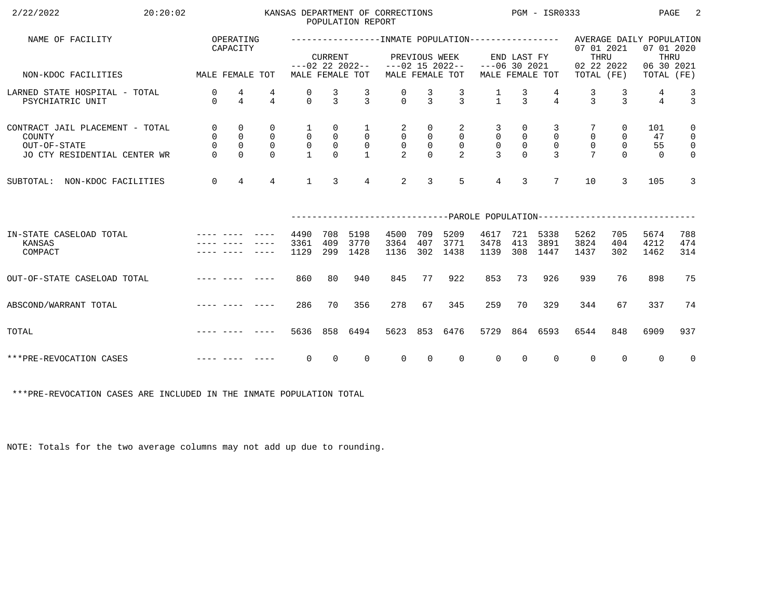| 2/22/2022<br>20:20:02                                                                     |                                          |                                                                |                                                          |                                                     |                                                             | POPULATION REPORT                                | KANSAS DEPARTMENT OF CORRECTIONS                                |                                                        |                                                         |                                                  |                                                                             | $PGM - ISR0333$                                 |                                                                                                  |                                                              | PAGE                        | -2                                                                |
|-------------------------------------------------------------------------------------------|------------------------------------------|----------------------------------------------------------------|----------------------------------------------------------|-----------------------------------------------------|-------------------------------------------------------------|--------------------------------------------------|-----------------------------------------------------------------|--------------------------------------------------------|---------------------------------------------------------|--------------------------------------------------|-----------------------------------------------------------------------------|-------------------------------------------------|--------------------------------------------------------------------------------------------------|--------------------------------------------------------------|-----------------------------|-------------------------------------------------------------------|
| NAME OF FACILITY                                                                          |                                          | OPERATING<br>CAPACITY                                          |                                                          |                                                     | <b>CURRENT</b>                                              |                                                  |                                                                 | PREVIOUS WEEK                                          |                                                         |                                                  | END LAST FY                                                                 |                                                 | ----------------INMATE POPULATION---------------- AVERAGE DAILY POPULATION<br>07 01 2021<br>THRU |                                                              | 07 01 2020<br>THRU          |                                                                   |
| MALE FEMALE TOT<br>NON-KDOC FACILITIES                                                    |                                          |                                                                |                                                          |                                                     |                                                             | MALE FEMALE TOT                                  | $---02$ 22 2022-- $---02$ 15 2022--                             |                                                        | MALE FEMALE TOT                                         | $---06$ 30 2021                                  |                                                                             | MALE FEMALE TOT                                 | 02 22 2022<br>TOTAL (FE)                                                                         |                                                              | 06 30 2021<br>TOTAL (FE)    |                                                                   |
| LARNED STATE HOSPITAL - TOTAL<br>PSYCHIATRIC UNIT                                         | 0<br>$\Omega$                            | 4<br>$\overline{4}$                                            | 4<br>$\overline{4}$                                      | 0<br>$\cap$                                         | $\frac{3}{3}$                                               | $\frac{3}{3}$                                    | $\begin{matrix} 0 \\ 0 \end{matrix}$                            | $\frac{3}{3}$                                          | $\frac{3}{3}$                                           | $\frac{1}{1}$                                    | $\frac{3}{3}$                                                               | $\overline{4}$                                  | $\frac{3}{3}$                                                                                    | 3<br>$\mathcal{E}$                                           | 4<br>$\overline{4}$         | $\frac{3}{3}$                                                     |
| CONTRACT JAIL PLACEMENT - TOTAL<br>COUNTY<br>OUT-OF-STATE<br>JO CTY RESIDENTIAL CENTER WR | $\overline{0}$<br>$\mathsf{O}$<br>$\cap$ | $\mathbf{0}$<br>$\mathbf 0$<br>$\mathsf{O}\xspace$<br>$\Omega$ | $\mathbf 0$<br>$\mathbf 0$<br>$\overline{0}$<br>$\Omega$ | 1<br>$\overline{0}$<br>$\mathsf{O}$<br>$\mathbf{1}$ | 0<br>$\begin{smallmatrix}0\\0\end{smallmatrix}$<br>$\Omega$ | $\mathbf{1}$<br>$\overline{0}$<br>$\overline{0}$ | $\overline{a}$<br>$\mathsf{O}$<br>$\mathsf 0$<br>$\overline{2}$ | 0<br>$\overline{0}$<br>$\mathsf{O}\xspace$<br>$\Omega$ | 2<br>$\overline{0}$<br>$\overline{0}$<br>$\mathfrak{D}$ | 3<br>$\mathsf{O}$<br>$\mathbf 0$<br>$\mathbf{z}$ | $\overline{0}$<br>$\begin{smallmatrix}0\\0\\0\end{smallmatrix}$<br>$\Omega$ | 3<br>$\mathbf 0$<br>$\mathbf 0$<br>$\mathbf{R}$ | $\mathbf 0$<br>$\mathsf{O}$<br>$\overline{7}$                                                    | $\overline{0}$<br>$\mathsf{O}$<br>$\overline{0}$<br>$\Omega$ | 101<br>47<br>55<br>$\Omega$ | $\mathbf 0$<br>$\overline{0}$<br>$\overline{0}$<br>$\overline{0}$ |
| SUBTOTAL: NON-KDOC FACILITIES                                                             | $\overline{0}$                           | $\overline{4}$                                                 | $\overline{4}$                                           | $\mathbf{1}$                                        | $\mathbf{3}$                                                | $4\overline{ }$                                  | $\overline{2}$                                                  | 3                                                      | 5                                                       | $\overline{4}$                                   | $\overline{3}$                                                              | $7\overline{ }$                                 | 10                                                                                               | $\mathcal{L}$                                                | 105                         | 3                                                                 |
|                                                                                           |                                          |                                                                |                                                          |                                                     |                                                             |                                                  |                                                                 |                                                        |                                                         |                                                  |                                                                             |                                                 | ------------------------------PAROLE POPULATION--------------------------                        |                                                              |                             |                                                                   |
| IN-STATE CASELOAD TOTAL<br>KANSAS<br>COMPACT                                              |                                          |                                                                |                                                          | 4490<br>3361<br>1129                                | 708<br>409<br>299                                           | 5198<br>3770<br>1428                             | 4500<br>3364<br>1136                                            | 709<br>407<br>302                                      | 5209<br>3771<br>1438                                    | 4617<br>3478<br>1139                             | 413<br>308                                                                  | 721 5338<br>3891<br>1447                        | 5262<br>3824<br>1437                                                                             | 705<br>404<br>302                                            | 5674<br>4212<br>1462        | 788<br>474<br>314                                                 |
| OUT-OF-STATE CASELOAD TOTAL                                                               |                                          |                                                                | -----                                                    | 860                                                 | 80                                                          | 940                                              | 845                                                             | 77                                                     | 922                                                     | 853                                              | 73                                                                          | 926                                             | 939                                                                                              | 76                                                           | 898                         | 75                                                                |
| ABSCOND/WARRANT TOTAL                                                                     |                                          |                                                                |                                                          | 286                                                 | 70                                                          | 356                                              | 278                                                             | 67                                                     | 345                                                     | 259                                              | 70                                                                          | 329                                             | 344                                                                                              | 67                                                           | 337                         | 74                                                                |
| TOTAL                                                                                     |                                          |                                                                |                                                          | 5636                                                | 858                                                         | 6494                                             | 5623                                                            |                                                        | 853 6476                                                | 5729                                             |                                                                             | 864 6593                                        | 6544                                                                                             | 848                                                          | 6909                        | 937                                                               |
| ***PRE-REVOCATION CASES                                                                   |                                          |                                                                |                                                          | $\mathbf 0$                                         | $\Omega$                                                    | $\Omega$                                         | $\Omega$                                                        | $\Omega$                                               | $\Omega$                                                | $\Omega$                                         | $\Omega$                                                                    | $\Omega$                                        | $\overline{0}$                                                                                   | $\Omega$                                                     | $\Omega$                    | $\overline{0}$                                                    |

\*\*\*PRE-REVOCATION CASES ARE INCLUDED IN THE INMATE POPULATION TOTAL

NOTE: Totals for the two average columns may not add up due to rounding.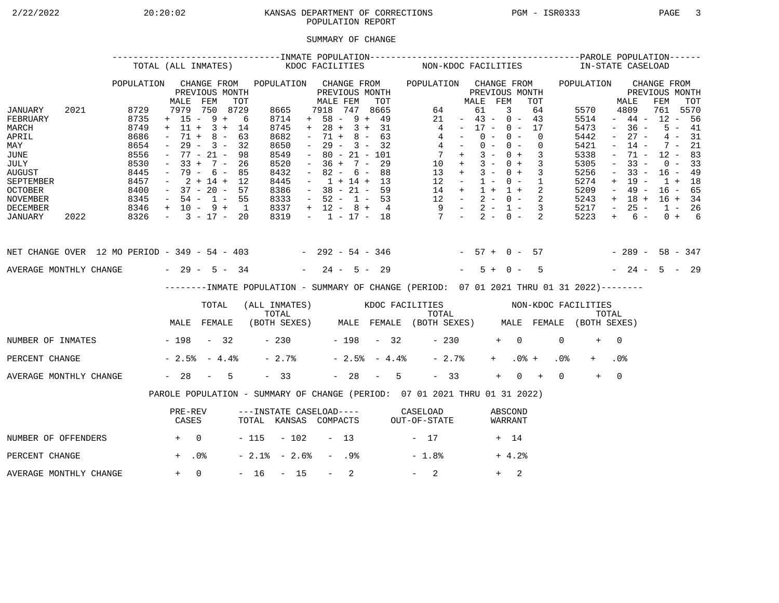# 2/22/2022 20:20:02 KANSAS DEPARTMENT OF CORRECTIONS PGM - ISR0333 PAGE 3POPULATION REPORT

## SUMMARY OF CHANGE

|                                                                                                                                        |      |                                                                                      | TOTAL (ALL INMATES)                                                                                                                                         |                                                 |     |                                                                                             | KDOC FACILITIES     |                                                                                                                                                                          |                  |                                                                    |     |                | NON-KDOC FACILITIES                                                                                                                            |                                                                                                 |                                  |                |            |                          |                            |                 | IN-STATE CASELOAD                                                                    |                                                                                                           |                                                                                                       |                                                                                       |                                              |  |
|----------------------------------------------------------------------------------------------------------------------------------------|------|--------------------------------------------------------------------------------------|-------------------------------------------------------------------------------------------------------------------------------------------------------------|-------------------------------------------------|-----|---------------------------------------------------------------------------------------------|---------------------|--------------------------------------------------------------------------------------------------------------------------------------------------------------------------|------------------|--------------------------------------------------------------------|-----|----------------|------------------------------------------------------------------------------------------------------------------------------------------------|-------------------------------------------------------------------------------------------------|----------------------------------|----------------|------------|--------------------------|----------------------------|-----------------|--------------------------------------------------------------------------------------|-----------------------------------------------------------------------------------------------------------|-------------------------------------------------------------------------------------------------------|---------------------------------------------------------------------------------------|----------------------------------------------|--|
|                                                                                                                                        |      | POPULATION                                                                           | MALE                                                                                                                                                        | CHANGE FROM<br>PREVIOUS MONTH<br>FEM            | TOT | POPULATION CHANGE FROM                                                                      |                     | MALE FEM                                                                                                                                                                 |                  | PREVIOUS MONTH                                                     | TOT |                | POPULATION CHANGE FROM                                                                                                                         |                                                                                                 | MALE FEM                         | PREVIOUS MONTH |            |                          | TOT                        |                 | POPULATION                                                                           |                                                                                                           | MALE                                                                                                  | CHANGE FROM<br>PREVIOUS MONTH<br>FEM                                                  | TOT                                          |  |
| JANUARY<br>FEBRUARY<br>MARCH<br>APRIL<br>MAY<br>JUNE<br>JULY<br><b>AUGUST</b><br>SEPTEMBER<br><b>OCTOBER</b><br>NOVEMBER               | 2021 | 8729<br>8735<br>8749<br>8686<br>8654<br>8556<br>8530<br>8445<br>8457<br>8400<br>8345 | $+ 15 - 9 + 6$<br>$+ 11 + 3 + 14$<br>$\sim$<br>$ \,$<br>$-77 - 21 -$<br>$-33 + 7 - 26$<br>$-79 - 6 - 85$<br>$-2+14+12$<br>$-37 - 20 - 57$<br>$-54 - 1 - 55$ | 7979 750 8729<br>$71 + 8 - 63$<br>$29 - 3 - 32$ | 98  | 8665<br>8714<br>8745<br>8682<br>8650<br>8549<br>8520<br>8432<br>8445<br>8386<br>8333        |                     | 7918 747 8665<br>$+ 58 - 9 + 49$<br>$+ 28 + 3 + 31$<br>$\sim$<br>$\sim$ $-$<br>$\sim$<br>$-36 + 7 - 29$<br>$\sim$<br>$-1 + 14 + 13$<br>$-38 - 21 - 59$<br>$-52 - 1 - 53$ |                  | $71 + 8 - 63$<br>$29 - 3 - 32$<br>$80 - 21 - 101$<br>$82 - 6 - 88$ |     |                | $\overline{4}$<br>$\begin{array}{ccccccccc} 14 & + & 1 & + & 1 & + & 2 \\ 12 & - & 2 & - & 0 & - & 2 \\ 9 & - & 2 & - & 1 & - & 3 \end{array}$ | 64<br>21<br>$4 -$<br>$4 -$<br>$7 +$<br>$10 + 3 - 0 + 3$<br>$13 + 3 - 0 + 3$<br>$12 - 1 - 0 - 1$ | $-43 - 0 - 43$<br>$-17 - 0 - 17$ | 61<br>$0 -$    | 3<br>$0 -$ | $0 - 0 -$<br>$3 - 0 + 3$ | 64<br>$\Omega$<br>$\Omega$ |                 | 5570<br>5514<br>5473<br>5442<br>5421<br>5338<br>5305<br>5256<br>5274<br>5209<br>5243 | $\sim$<br>$\sim$<br>$\overline{\phantom{a}}$<br>$\equiv$<br>$\overline{\phantom{a}}$<br>$+$<br>$\sim$ $-$ | 4809<br>$-44-$<br>$-36 -$<br>$27 -$<br>$14 -$<br>71 -<br>$33 -$<br>$33 -$<br>19 -<br>49 -<br>$+ 18 +$ | 761 5570<br>$12 - 56$<br>$12 - 83$<br>$16 - 49$<br>$1 + 18$<br>$16 - 65$<br>$16 + 34$ | $5 - 41$<br>$4 - 31$<br>$7 - 21$<br>$0 - 33$ |  |
| DECEMBER<br>JANUARY                                                                                                                    | 2022 | $8346 + 10 - 9 + 1$<br>$8326 - 3 - 17 - 20$                                          |                                                                                                                                                             |                                                 |     | 8337<br>8319                                                                                |                     | $+ 12 - 8 + 4$                                                                                                                                                           |                  |                                                                    |     |                | $-1$ $-17$ $-18$ $7$ $-2$ $-0$ $-2$                                                                                                            |                                                                                                 |                                  |                |            |                          |                            |                 | 5217<br>5223                                                                         | $\sim$ $-$<br>$+$                                                                                         | $25 -$<br>$6 -$                                                                                       | $1 - 26$                                                                              | $0 + 6$                                      |  |
| NET CHANGE OVER 12 MO PERIOD - 349 - 54 - 403 - 292 - 54 - 346 - 57 + 0 - 57 - 289 - 58 - 347<br>AVERAGE MONTHLY CHANGE $-29 - 5 - 34$ |      |                                                                                      |                                                                                                                                                             |                                                 |     |                                                                                             |                     | $-24 - 5 - 29$                                                                                                                                                           |                  |                                                                    |     |                |                                                                                                                                                |                                                                                                 |                                  | $5 + 0 -$      |            |                          | $5^{\circ}$                |                 | $-24 - 5 - 29$                                                                       |                                                                                                           |                                                                                                       |                                                                                       |                                              |  |
|                                                                                                                                        |      |                                                                                      |                                                                                                                                                             |                                                 |     | --------INMATE POPULATION - SUMMARY OF CHANGE (PERIOD: 07 01 2021 THRU 01 31 2022)--------  |                     |                                                                                                                                                                          |                  |                                                                    |     |                |                                                                                                                                                |                                                                                                 |                                  |                |            |                          |                            |                 |                                                                                      |                                                                                                           |                                                                                                       |                                                                                       |                                              |  |
|                                                                                                                                        |      |                                                                                      |                                                                                                                                                             | TOTAL                                           |     | (ALL INMATES) WOOC FACILITIES NON-KDOC FACILITIES                                           |                     |                                                                                                                                                                          |                  |                                                                    |     |                |                                                                                                                                                |                                                                                                 |                                  |                |            |                          |                            |                 |                                                                                      |                                                                                                           |                                                                                                       |                                                                                       |                                              |  |
|                                                                                                                                        |      |                                                                                      | MALE FEMALE                                                                                                                                                 |                                                 |     | TOTAL TOTAL TOTAL TOTAL TOTAL TOTAL TOTAL TOTAL TOTAL (BOTH SEXES) MALE FEMALE (BOTH SEXES) |                     |                                                                                                                                                                          |                  |                                                                    |     |                |                                                                                                                                                |                                                                                                 |                                  |                |            |                          |                            |                 |                                                                                      |                                                                                                           |                                                                                                       |                                                                                       |                                              |  |
| NUMBER OF INMATES - 198 - 32                                                                                                           |      |                                                                                      |                                                                                                                                                             |                                                 |     |                                                                                             | $-230$ $-198$ $-32$ |                                                                                                                                                                          |                  |                                                                    |     |                |                                                                                                                                                | $-230$                                                                                          |                                  |                | $+ 0$      |                          |                            | $\Omega$        | $+$                                                                                  | $\bigcap$                                                                                                 |                                                                                                       |                                                                                       |                                              |  |
| PERCENT CHANGE                                                                                                                         |      |                                                                                      | $-2.5$ $-4.4$ $-$                                                                                                                                           |                                                 |     | $-2.7%$                                                                                     |                     |                                                                                                                                                                          |                  |                                                                    |     | $-2.5% - 4.4%$ |                                                                                                                                                | $-2.7%$                                                                                         |                                  |                | $+$ $-$    | $.0%$ +                  |                            | .0 <sub>8</sub> |                                                                                      | .0 <sub>8</sub>                                                                                           |                                                                                                       |                                                                                       |                                              |  |
| AVERAGE MONTHLY CHANGE                                                                                                                 |      |                                                                                      | $-28 - 5$                                                                                                                                                   |                                                 |     | $-33$                                                                                       |                     |                                                                                                                                                                          |                  |                                                                    |     | $-28 - 5$      |                                                                                                                                                | $-33$                                                                                           |                                  |                | $+$        | $0 +$                    |                            | $\Omega$        | $+$                                                                                  | $\overline{0}$                                                                                            |                                                                                                       |                                                                                       |                                              |  |
|                                                                                                                                        |      |                                                                                      | PAROLE POPULATION - SUMMARY OF CHANGE (PERIOD: 07 01 2021 THRU 01 31 2022)                                                                                  |                                                 |     |                                                                                             |                     |                                                                                                                                                                          |                  |                                                                    |     |                |                                                                                                                                                |                                                                                                 |                                  |                |            |                          |                            |                 |                                                                                      |                                                                                                           |                                                                                                       |                                                                                       |                                              |  |
|                                                                                                                                        |      |                                                                                      | PRE-REV<br>CASES                                                                                                                                            |                                                 |     | ---INSTATE CASELOAD---- CASELOAD<br>TOTAL KANSAS COMPACTS OUT-OF-STATE                      |                     |                                                                                                                                                                          |                  |                                                                    |     |                |                                                                                                                                                |                                                                                                 |                                  |                |            | ABSCOND<br>WARRANT       |                            |                 |                                                                                      |                                                                                                           |                                                                                                       |                                                                                       |                                              |  |
| NUMBER OF OFFENDERS                                                                                                                    |      | $+$ 0                                                                                |                                                                                                                                                             |                                                 |     | $-115 - 102 - 13$                                                                           |                     |                                                                                                                                                                          |                  |                                                                    |     |                | $-17$                                                                                                                                          |                                                                                                 |                                  |                | + 14       |                          |                            |                 |                                                                                      |                                                                                                           |                                                                                                       |                                                                                       |                                              |  |
| PERCENT CHANGE                                                                                                                         |      |                                                                                      | $+$ .0%                                                                                                                                                     |                                                 |     | $-2.1$ % $-2.6$ %                                                                           |                     |                                                                                                                                                                          | - .98            |                                                                    |     |                | $-1.8%$                                                                                                                                        |                                                                                                 |                                  |                |            | $+4.2%$                  |                            |                 |                                                                                      |                                                                                                           |                                                                                                       |                                                                                       |                                              |  |
| AVERAGE MONTHLY CHANGE                                                                                                                 |      |                                                                                      | $+ 0$                                                                                                                                                       |                                                 |     | $-16 - 15$                                                                                  |                     |                                                                                                                                                                          | $\sim$ 100 $\mu$ | 2                                                                  |     |                | $-2$                                                                                                                                           |                                                                                                 |                                  |                | $+$        | 2                        |                            |                 |                                                                                      |                                                                                                           |                                                                                                       |                                                                                       |                                              |  |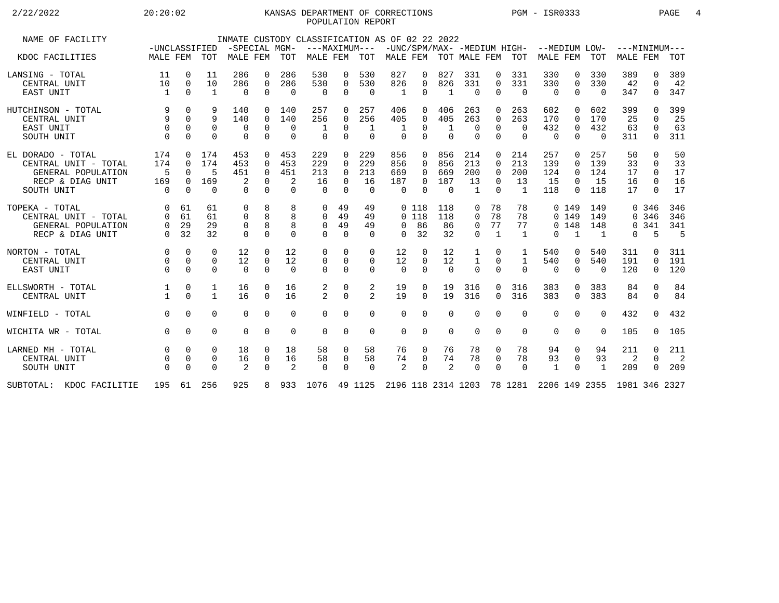## 2/22/2022 20:20:02 20:20:02 KANSAS DEPARTMENT OF CORRECTIONS PGM - ISR0333 PAGE 4 POPULATION REPORT

| NAME OF FACILITY            | -UNCLASSIFIED  |             |              | -SPECIAL MGM- |                |                | INMATE CUSTODY CLASSIFICATION AS OF 02 22 2022<br>$---MAXIMUM---$ |             |             |          |          |                       |                |          |                | -UNC/SPM/MAX- -MEDIUM HIGH- --MEDIUM LOW- |              |          | $---MINTMIN---$             |              |                |
|-----------------------------|----------------|-------------|--------------|---------------|----------------|----------------|-------------------------------------------------------------------|-------------|-------------|----------|----------|-----------------------|----------------|----------|----------------|-------------------------------------------|--------------|----------|-----------------------------|--------------|----------------|
| KDOC FACILITIES             | MALE FEM       |             | TOT          | MALE FEM      |                | <b>TOT</b>     | MALE FEM                                                          |             | TOT         |          |          | MALE FEM TOT MALE FEM |                |          | TOT            | MALE FEM                                  |              | TOT      | <b>MALE FEM</b>             |              | <b>TOT</b>     |
| LANSING - TOTAL             | 11             | 0           | 11           | 286           | 0              | 286            | 530                                                               | 0           | 530         | 827      | 0        | 827                   | 331            | 0        | 331            | 330                                       | 0            | 330      | 389                         | 0            | 389            |
| CENTRAL UNIT                | 10             | $\mathbf 0$ | 10           | 286           | $\overline{0}$ | 286            | 530                                                               | $\mathbf 0$ | 530         | 826      | 0        | 826                   | 331            | 0        | 331            | 330                                       | $\mathbf 0$  | 330      | 42                          | 0            | 42             |
| EAST UNIT                   | $\overline{1}$ | $\Omega$    | 1            | 0             | 0              | $\Omega$       | 0                                                                 | $\Omega$    | $\Omega$    | -1       | $\Omega$ | 1                     | $\Omega$       | $\Omega$ | $\overline{0}$ | $\Omega$                                  | $\Omega$     | $\Omega$ | 347                         | 0            | 347            |
| HUTCHINSON - TOTAL          |                | $\Omega$    |              | 140           | 0              | 140            | 257                                                               | 0           | 257         | 406      | 0        | 406                   | 263            | 0        | 263            | 602                                       | $\Omega$     | 602      | 399                         | <sup>n</sup> | 399            |
| CENTRAL UNIT                | 9              | $\Omega$    | 9            | 140           | $\Omega$       | 140            | 256                                                               | $\Omega$    | 256         | 405      | $\Omega$ | 405                   | 263            | $\Omega$ | 263            | 170                                       | $\Omega$     | 170      | 25                          | 0            | 25             |
| EAST UNIT                   | $\Omega$       | $\Omega$    | $\mathbf 0$  | 0             | 0              | $\Omega$       | -1                                                                | 0           | 1           |          | $\Omega$ |                       | 0              | $\Omega$ | $\Omega$       | 432                                       | $\mathbf 0$  | 432      | 63                          | 0            | 63             |
| SOUTH UNIT                  | $\Omega$       | $\Omega$    | $\Omega$     | $\Omega$      | $\overline{0}$ | $\Omega$       | $\Omega$                                                          | $\Omega$    | $\Omega$    | $\Omega$ | $\Omega$ | $\Omega$              | $\Omega$       | $\Omega$ | $\Omega$       | $\mathbf 0$                               | $\Omega$     | $\Omega$ | 311                         | 0            | 311            |
| EL DORADO - TOTAL           | 174            | $\Omega$    | 174          | 453           | $\Omega$       | 453            | 229                                                               | $\Omega$    | 229         | 856      | $\Omega$ | 856                   | 214            | $\Omega$ | 214            | 257                                       | $\Omega$     | 257      | 50                          | $\Omega$     | 50             |
| CENTRAL UNIT - TOTAL        | 174            | $\Omega$    | 174          | 453           | $\Omega$       | 453            | 229                                                               | $\Omega$    | 229         | 856      | $\Omega$ | 856                   | 213            | $\Omega$ | 213            | 139                                       | $\Omega$     | 139      | 33                          | $\Omega$     | 33             |
| GENERAL POPULATION          | 5              | $\Omega$    |              | 451           | $\Omega$       | 451            | 213                                                               | $\Omega$    | 213         | 669      | 0        | 669                   | 200            | $\Omega$ | 200            | 124                                       | $\Omega$     | 124      | 17                          | $\Omega$     | 17             |
| RECP & DIAG UNIT            | 169            | $\Omega$    | 169          | 2             | $\mathbf 0$    | 2              | 16                                                                | $\Omega$    | 16          | 187      | $\Omega$ | 187                   | 13             | $\Omega$ | 13             | 15                                        | $\Omega$     | 15       | 16                          | $\Omega$     | 16             |
| SOUTH UNIT                  | $\Omega$       | $\Omega$    | $\Omega$     | $\Omega$      | $\Omega$       | $\Omega$       | $\cap$                                                            | $\Omega$    | $\Omega$    | $\Omega$ | $\Omega$ | $\Omega$              | $\overline{1}$ | $\Omega$ | $\overline{1}$ | 118                                       | $\Omega$     | 118      | 17                          | $\cap$       | 17             |
| TOPEKA - TOTAL              | $\Omega$       | 61          | 61           | 0             | 8              | 8              | $\Omega$                                                          | 49          | 49          |          | 0 118    | 118                   | 0              | 78       | 78             |                                           | 0, 149       | 149      |                             | 0 346        | 346            |
| CENTRAL UNIT - TOTAL        | $\Omega$       | 61          | 61           | 0             | 8              | 8              | $\Omega$                                                          | 49          | 49          |          | $0$ 118  | 118                   | 0              | 78       | 78             |                                           | 0, 149       | 149      |                             | 0 346        | 346            |
| GENERAL POPULATION          | $\Omega$       | 29          | 29           | 0             | 8              | 8              | 0                                                                 | 49          | 49          | $\Omega$ | 86       | 86                    | 0              | 77       | 77             |                                           | 0, 148       | 148      |                             | 0.341        | 341            |
| RECP & DIAG UNIT            | $\Omega$       | 32          | 32           | $\Omega$      | $\Omega$       | $\Omega$       | $\Omega$                                                          | $\Omega$    | $\Omega$    | $\Omega$ | 32       | 32                    | $\Omega$       | 1        | $\mathbf{1}$   | 0                                         | $\mathbf{1}$ | 1        | $\Omega$                    | 5            | -5             |
| NORTON - TOTAL              | $\Omega$       | $\Omega$    | 0            | 12            | 0              | 12             | 0                                                                 | 0           | 0           | 12       | 0        | 12                    | 1              | 0        | 1              | 540                                       | 0            | 540      | 311                         | 0            | 311            |
| CENTRAL UNIT                | $\Omega$       | $\Omega$    | $\mathbf 0$  | 12            | $\mathbf 0$    | 12             | 0                                                                 | $\mathbf 0$ | 0           | 12       | $\Omega$ | 12                    | $\mathbf{1}$   | 0        | $\mathbf{1}$   | 540                                       | 0            | 540      | 191                         | 0            | 191            |
| EAST UNIT                   | $\Omega$       | $\Omega$    | $\Omega$     | $\Omega$      | $\overline{0}$ | $\Omega$       | $\Omega$                                                          | $\Omega$    | $\mathbf 0$ | $\Omega$ | $\Omega$ | $\Omega$              | $\Omega$       | $\Omega$ | $\Omega$       | 0                                         | $\mathbf 0$  | $\Omega$ | 120                         | 0            | 120            |
| ELLSWORTH - TOTAL           |                | 0           | 1            | 16            | $\Omega$       | 16             | 2                                                                 | 0           | 2           | 19       | 0        | 19                    | 316            | $\Omega$ | 316            | 383                                       | $\Omega$     | 383      | 84                          | $\Omega$     | 84             |
| CENTRAL UNIT                |                | $\Omega$    | $\mathbf{1}$ | 16            | $\Omega$       | 16             | $\overline{2}$                                                    | $\Omega$    | 2           | 19       | $\Omega$ | 19                    | 316            | $\Omega$ | 316            | 383                                       | $\Omega$     | 383      | 84                          | 0            | 84             |
| WINFIELD - TOTAL            | $\Omega$       | $\Omega$    | $\Omega$     | $\Omega$      | $\Omega$       | $\Omega$       | $\Omega$                                                          | $\Omega$    | $\Omega$    | $\Omega$ | $\Omega$ | $\Omega$              | $\Omega$       | 0        | $\Omega$       | $\Omega$                                  | $\Omega$     | $\Omega$ | 432                         | $\Omega$     | 432            |
| WICHITA WR - TOTAL          | $\Omega$       | $\Omega$    | $\Omega$     | $\Omega$      | $\overline{0}$ | $\Omega$       | $\Omega$                                                          | $\Omega$    | $\mathbf 0$ | $\Omega$ | $\Omega$ | $\Omega$              | 0              | 0        | $\Omega$       | $\Omega$                                  | $\Omega$     | $\Omega$ | 105                         | 0            | 105            |
| LARNED MH - TOTAL           | $\Omega$       | $\Omega$    | $\Omega$     | 18            | $\Omega$       | 18             | 58                                                                | $\Omega$    | 58          | 76       | $\Omega$ | 76                    | 78             | 0        | 78             | 94                                        | 0            | 94       | 211                         | 0            | 211            |
| CENTRAL UNIT                |                | $\mathbf 0$ | 0            | 16            | 0              | 16             | 58                                                                | 0           | 58          | 74       | 0        | 74                    | 78             | 0        | 78             | 93                                        | 0            | 93       | 2                           | 0            | $\overline{2}$ |
| SOUTH UNIT                  | $\Omega$       | $\Omega$    | $\Omega$     | 2             | $\overline{0}$ | $\overline{2}$ | $\Omega$                                                          | $\Omega$    | $\Omega$    | 2        | $\Omega$ | 2                     | $\Omega$       | $\Omega$ | $\Omega$       | $\mathbf{1}$                              | $\Omega$     | 1        | 209                         | $\Omega$     | 209            |
| KDOC FACILITIE<br>SUBTOTAL: | 195            |             | 61 256       | 925           | 8              |                | 933 1076 49 1125 2196 118 2314 1203 78 1281                       |             |             |          |          |                       |                |          |                |                                           |              |          | 2206 149 2355 1981 346 2327 |              |                |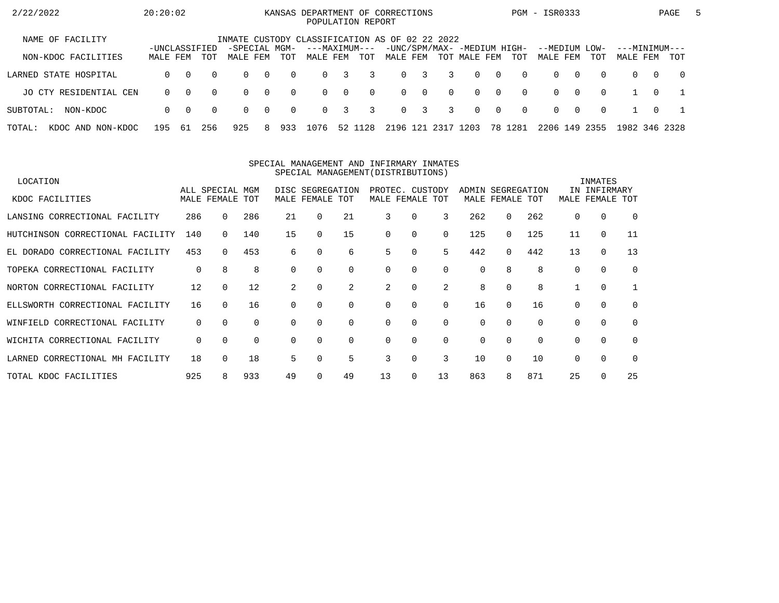| 2/22/2022                   | 20:20:02      |          |          |                                                                 |                |          | KANSAS DEPARTMENT OF CORRECTIONS<br>POPULATION REPORT |          |          |                |                         |          |              |                |                             | PGM - ISR0333 |          |          |               |          | PAGE       | 5 |
|-----------------------------|---------------|----------|----------|-----------------------------------------------------------------|----------------|----------|-------------------------------------------------------|----------|----------|----------------|-------------------------|----------|--------------|----------------|-----------------------------|---------------|----------|----------|---------------|----------|------------|---|
| NAME OF FACILITY            | -UNCLASSIFIED |          |          | INMATE CUSTODY CLASSIFICATION AS OF 02 22 2022<br>-SPECIAL MGM- |                |          | ---MAXIMUM---                                         |          |          |                |                         |          |              |                | -UNC/SPM/MAX- -MEDIUM HIGH- | --MEDIUM LOW- |          |          | ---MINIMUM--- |          |            |   |
| NON-KDOC FACILITIES         | MALE FEM      |          | TOT      | MALE FEM                                                        |                | TOT      | MALE FEM                                              |          | TOT      | MALE FEM       |                         |          | TOT MALE FEM |                | TOT                         | MALE FEM      |          | TOT      | MALE FEM      |          | TOT        |   |
| LARNED STATE HOSPITAL       | $\Omega$      | $\Omega$ | $\Omega$ | $\Omega$                                                        | $\sim$ 0       | $\Omega$ | $\Omega$                                              | 3        | 3        |                | $0 \quad 3$             | 3        | $\Omega$     | $\overline{0}$ | $\Omega$                    | $\Omega$      | $\Omega$ | $\Omega$ | $\Omega$      | $\Omega$ | $\bigcirc$ |   |
| JO CTY RESIDENTIAL CEN      | $\Omega$      | $\Omega$ | $\Omega$ | $\Omega$                                                        | $\overline{0}$ | $\Omega$ | $\Omega$                                              | $\Omega$ | $\Omega$ |                | $0 \quad 0$             | $\Omega$ | $\Omega$     | $\bigcirc$     | $\Omega$                    | $\Omega$      | റ        | $\Omega$ |               | $\Omega$ |            |   |
| SUBTOTAL:<br>NON-KDOC       | $\Omega$      | $\Omega$ | $\Omega$ | $\Omega$                                                        | $\overline{0}$ | $\Omega$ | $\Omega$                                              | 3        | 3        | $\overline{0}$ | $\overline{\mathbf{3}}$ | 3        | $\Omega$     | $\overline{0}$ | $\Omega$                    | $\Omega$      | റ        | $\Omega$ |               | $\Omega$ |            |   |
| TOTAL:<br>KDOC AND NON-KDOC | 195           | -61      | 256      | 925                                                             | 8.             | 933      | 1076                                                  | 52 1     | 128      | 2196 121       |                         | 2317     | 1203         |                | 78 1281                     | 2206 149 2355 |          |          | 1982 346 2328 |          |            |   |

#### SPECIAL MANAGEMENT AND INFIRMARY INMATESSPECIAL MANAGEMENT(DISTRIBUTIONS)

| LOCATION                         |     |                                |          |          |                                     |             |                                    |          |          |          |                                |     |          | INMATES                |          |
|----------------------------------|-----|--------------------------------|----------|----------|-------------------------------------|-------------|------------------------------------|----------|----------|----------|--------------------------------|-----|----------|------------------------|----------|
| KDOC FACILITIES                  |     | ALL SPECIAL MGM<br>MALE FEMALE | TOT      |          | DISC SEGREGATION<br>MALE FEMALE TOT |             | PROTEC. CUSTODY<br>MALE FEMALE TOT |          |          | ADMIN    | SEGREGATION<br>MALE FEMALE TOT |     | MALE     | IN INFIRMARY<br>FEMALE | TOT      |
|                                  |     |                                |          |          |                                     |             |                                    |          |          |          |                                |     |          |                        |          |
| LANSING CORRECTIONAL FACILITY    | 286 | 0                              | 286      | 21       | 0                                   | 21          | 3                                  | 0        | 3        | 262      | $\Omega$                       | 262 | 0        | 0                      | $\Omega$ |
| HUTCHINSON CORRECTIONAL FACILITY | 140 |                                | 140      | 15       | 0                                   | 15          | $\Omega$                           | $\Omega$ | $\Omega$ | 125      | 0                              | 125 | 11       | $\mathbf 0$            | 11       |
| EL DORADO CORRECTIONAL FACILITY  | 453 | $\Omega$                       | 453      | 6        | 0                                   | 6           | 5                                  | 0        | 5        | 442      | 0                              | 442 | 13       | $\mathbf 0$            | 13       |
| TOPEKA CORRECTIONAL FACILITY     | 0   | 8                              | 8        | $\Omega$ | 0                                   | $\mathbf 0$ | $\Omega$                           | $\Omega$ | $\Omega$ | $\Omega$ | 8                              | 8   | $\Omega$ | 0                      | 0        |
| NORTON CORRECTIONAL FACILITY     | 12  |                                | 12       | 2        | 0                                   | 2           | 2                                  | 0        | 2        | 8        | $\Omega$                       |     |          | 0                      |          |
| ELLSWORTH CORRECTIONAL FACILITY  | 16  | $\Omega$                       | 16       | $\Omega$ | 0                                   | $\Omega$    | $\Omega$                           | $\Omega$ | $\Omega$ | 16       | $\Omega$                       | 16  | $\Omega$ | $\mathbf 0$            | $\Omega$ |
| WINFIELD CORRECTIONAL FACILITY   | 0   | $\Omega$                       | $\Omega$ | $\Omega$ | $\Omega$                            | $\mathbf 0$ | $\Omega$                           | 0        | $\Omega$ | 0        | $\Omega$                       |     | $\Omega$ | 0                      | $\Omega$ |
| WICHITA CORRECTIONAL FACILITY    | 0   | $\Omega$                       | $\Omega$ | $\Omega$ | $\Omega$                            | $\mathbf 0$ | $\Omega$                           | $\Omega$ | $\Omega$ | $\Omega$ | $\Omega$                       |     | $\Omega$ | $\mathbf 0$            | $\Omega$ |
| LARNED CORRECTIONAL MH FACILITY  | 18  |                                | 18       | 5.       | 0                                   | 5           | 3                                  | 0        | 3        | 10       | $\Omega$                       | 10  | $\Omega$ | $\mathbf 0$            | $\Omega$ |
| TOTAL KDOC FACILITIES            | 925 |                                | 933      | 49       | 0                                   | 49          | 13                                 | $\Omega$ | 13       | 863      | 8                              | 871 | 25       | $\Omega$               | 25       |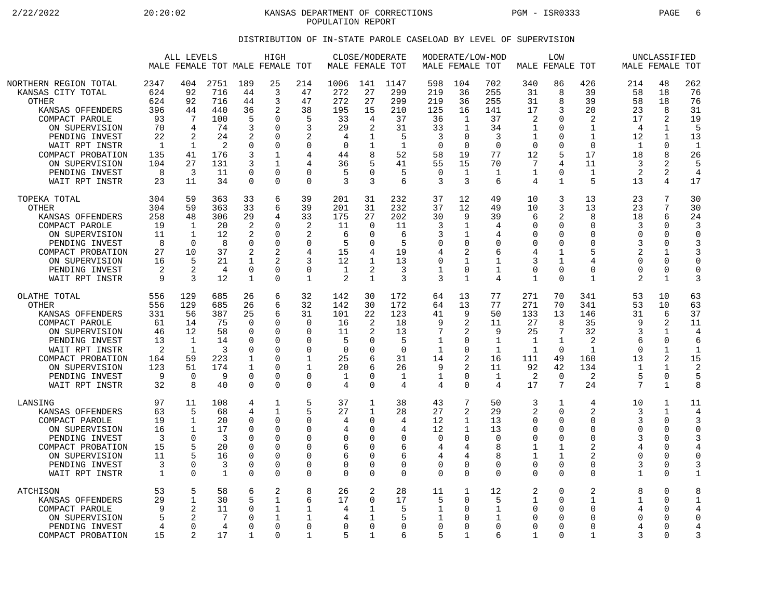2/22/2022 20:20:02 20:20:02 KANSAS DEPARTMENT OF CORRECTIONS PGM - ISR0333 PAGE 6 POPULATION REPORT

## DISTRIBUTION OF IN-STATE PAROLE CASELOAD BY LEVEL OF SUPERVISION

|                                                                                                                                                                                                                            |                                                                            | ALL LEVELS<br>MALE FEMALE TOT MALE FEMALE TOT                                                   |                                                                             |                                                                                                     | HIGH                                                                                                        |                                                                                                                     | MALE FEMALE TOT                                                              | CLOSE/MODERATE                                                         |                                                                                 |                                                                                    | MODERATE/LOW-MOD<br>MALE FEMALE TOT                                                          |                                                                               |                                                                                       | LOW<br>MALE FEMALE TOT                                                                           |                                                                                                                      |                                                                              | UNCLASSIFIED<br>MALE FEMALE TOT                                                        |                                                                                  |
|----------------------------------------------------------------------------------------------------------------------------------------------------------------------------------------------------------------------------|----------------------------------------------------------------------------|-------------------------------------------------------------------------------------------------|-----------------------------------------------------------------------------|-----------------------------------------------------------------------------------------------------|-------------------------------------------------------------------------------------------------------------|---------------------------------------------------------------------------------------------------------------------|------------------------------------------------------------------------------|------------------------------------------------------------------------|---------------------------------------------------------------------------------|------------------------------------------------------------------------------------|----------------------------------------------------------------------------------------------|-------------------------------------------------------------------------------|---------------------------------------------------------------------------------------|--------------------------------------------------------------------------------------------------|----------------------------------------------------------------------------------------------------------------------|------------------------------------------------------------------------------|----------------------------------------------------------------------------------------|----------------------------------------------------------------------------------|
| NORTHERN REGION TOTAL<br>KANSAS CITY TOTAL<br>OTHER<br>KANSAS OFFENDERS<br>COMPACT PAROLE<br>ON SUPERVISION<br>PENDING INVEST<br>WAIT RPT INSTR<br>COMPACT PROBATION<br>ON SUPERVISION<br>PENDING INVEST<br>WAIT RPT INSTR | 2347<br>624<br>624<br>396<br>93<br>70<br>22<br>-1<br>135<br>104<br>8<br>23 | 404<br>92<br>92<br>44<br>7<br>4<br>2<br>1<br>41<br>27<br>3<br>11                                | 2751<br>716<br>716<br>440<br>100<br>74<br>24<br>2<br>176<br>131<br>11<br>34 | 189<br>44<br>44<br>36<br>5<br>3<br>2<br>$\Omega$<br>3<br>3<br>$\Omega$<br>$\mathbf 0$               | 25<br>3<br>3<br>2<br>$\Omega$<br>$\Omega$<br>$\Omega$<br>$\Omega$<br>1<br>1<br>$\Omega$<br>$\Omega$         | 214<br>47<br>47<br>38<br>5<br>3<br>2<br>$\Omega$<br>4<br>4<br>$\Omega$<br>$\mathbf 0$                               | 1006<br>272<br>272<br>195<br>33<br>29<br>4<br>$\Omega$<br>44<br>36<br>5<br>3 | 141<br>27<br>27<br>15<br>4<br>$\overline{2}$<br>8<br>U<br>3            | 1147<br>299<br>299<br>210<br>37<br>31<br>5<br>-1<br>52<br>41<br>5<br>6          | 598<br>219<br>219<br>125<br>36<br>33<br>3<br>$\Omega$<br>58<br>55<br>$\Omega$<br>3 | 104<br>36<br>36<br>16<br>1<br>$\mathbf{1}$<br>0<br>$\Omega$<br>19<br>15<br>$\mathbf{1}$<br>3 | 702<br>255<br>255<br>141<br>37<br>34<br>3<br>$\Omega$<br>77<br>70<br>1<br>6   | 340<br>31<br>31<br>17<br>2<br>1<br>1<br>$\Omega$<br>12<br>7<br>1<br>4                 | 86<br>8<br>8<br>3<br>$\Omega$<br>$\Omega$<br>0<br>$\Omega$<br>5<br>4<br>$\Omega$<br>$\mathbf{1}$ | 426<br>39<br>39<br>20<br>$\overline{2}$<br>$\mathbf{1}$<br>$\mathbf{1}$<br>$\Omega$<br>17<br>11<br>$\mathbf{1}$<br>5 | 214<br>58<br>58<br>23<br>17<br>4<br>12<br>$\mathbf{1}$<br>18<br>3<br>2<br>13 | 48<br>18<br>18<br>8<br>2<br>1<br>1<br>$\Omega$<br>8<br>2<br>2<br>4                     | 262<br>76<br>76<br>31<br>19<br>5<br>13<br>$\mathbf{1}$<br>26<br>5<br>4<br>17     |
| TOPEKA TOTAL<br><b>OTHER</b><br>KANSAS OFFENDERS<br>COMPACT PAROLE<br>ON SUPERVISION<br>PENDING INVEST<br>COMPACT PROBATION<br>ON SUPERVISION<br>PENDING INVEST<br>WAIT RPT INSTR                                          | 304<br>304<br>258<br>19<br>11<br>8<br>27<br>16<br>2<br>9                   | 59<br>59<br>48<br>$\mathbf{1}$<br>$\mathbf{1}$<br>$\mathbf 0$<br>10<br>5<br>$\overline{2}$<br>3 | 363<br>363<br>306<br>20<br>12<br>8<br>37<br>21<br>4<br>12                   | 33<br>33<br>29<br>$\overline{2}$<br>2<br>$\mathbf 0$<br>2<br>1<br>$\overline{0}$<br>1               | 6<br>6<br>4<br>$\Omega$<br>$\Omega$<br>$\Omega$<br>2<br>2<br>$\mathbf 0$<br>$\Omega$                        | 39<br>39<br>33<br>$\overline{2}$<br>2<br>$\mathbf 0$<br>4<br>3<br>$\mathbf 0$<br>1                                  | 201<br>201<br>175<br>11<br>6<br>5<br>15<br>12<br>$\mathbf{1}$<br>2           | 31<br>31<br>27<br>$\Omega$<br>∩<br>0<br>1<br>2<br>$\mathbf{1}$         | 232<br>232<br>202<br>11<br>6<br>5<br>19<br>13<br>3<br>3                         | 37<br>37<br>30<br>3<br>3<br>$\mathbf 0$<br>4<br>0<br>$\mathbf 1$<br>3              | 12<br>12<br>9<br>$\mathbf{1}$<br>1<br>0<br>2<br>1<br>0<br>1                                  | 49<br>49<br>39<br>4<br>4<br>0<br>6<br>1<br>$\mathbf 1$<br>4                   | 10<br>10<br>6<br>$\Omega$<br>∩<br>0<br>4<br>3<br>$\mathbf 0$<br>$\mathbf{1}$          | 3<br>3<br>2<br>$\Omega$<br>$\Omega$<br>$\mathbf 0$<br>1<br>1<br>$\overline{0}$<br>$\Omega$       | 13<br>13<br>8<br>$\Omega$<br>$\Omega$<br>$\mathbf 0$<br>5<br>4<br>$\mathbf 0$<br>$\mathbf{1}$                        | 23<br>23<br>18<br>3<br>$\cap$<br>3<br>2<br>$\Omega$<br>$\Omega$<br>2         | 7<br>7<br>6<br>0<br>$\Omega$<br>$\Omega$<br>1<br>0<br>$\mathbf 0$<br>1                 | 30<br>30<br>24<br>3<br>$\Omega$<br>3<br>3<br>$\Omega$<br>$\mathbf 0$<br>3        |
| OLATHE TOTAL<br><b>OTHER</b><br>KANSAS OFFENDERS<br>COMPACT PAROLE<br>ON SUPERVISION<br>PENDING INVEST<br>WAIT RPT INSTR<br>COMPACT PROBATION<br>ON SUPERVISION<br>PENDING INVEST<br>WAIT RPT INSTR                        | 556<br>556<br>331<br>61<br>46<br>13<br>2<br>164<br>123<br>9<br>32          | 129<br>129<br>56<br>14<br>12<br>1<br>$\mathbf 1$<br>59<br>51<br>$\Omega$<br>8                   | 685<br>685<br>387<br>75<br>58<br>14<br>3<br>223<br>174<br>9<br>40           | 26<br>26<br>25<br>$\Omega$<br>$\mathbf 0$<br><sup>0</sup><br>0<br>1<br>1<br>$\mathbf 0$<br>$\Omega$ | 6<br>6<br>6<br>$\Omega$<br>$\Omega$<br>$\Omega$<br>$\Omega$<br>$\Omega$<br>$\Omega$<br>$\Omega$<br>$\Omega$ | 32<br>32<br>31<br>$\Omega$<br>$\mathbf 0$<br>$\Omega$<br>$\mathbf 0$<br>$\mathbf 1$<br>1<br>$\mathbf 0$<br>$\Omega$ | 142<br>142<br>101<br>16<br>11<br>5<br>0<br>25<br>20<br>$\mathbf{1}$<br>4     | 30<br>30<br>22<br>2<br>O<br>$\Omega$<br>6<br>6<br>$\Omega$<br>$\Omega$ | 172<br>172<br>123<br>18<br>13<br>5<br>$\Omega$<br>31<br>26<br>$\mathbf{1}$<br>4 | 64<br>64<br>41<br>9<br>7<br>$\mathbf{1}$<br>$\mathbf{1}$<br>14<br>9<br>1<br>4      | 13<br>13<br>9<br>2<br>2<br>0<br>0<br>2<br>2<br>0<br>0                                        | 77<br>77<br>50<br>11<br>9<br>1<br>$\mathbf 1$<br>16<br>11<br>$\mathbf 1$<br>4 | 271<br>271<br>133<br>27<br>25<br>$\mathbf{1}$<br>$\mathbf{1}$<br>111<br>92<br>2<br>17 | 70<br>70<br>13<br>8<br>7<br>$\mathbf{1}$<br>$\Omega$<br>49<br>42<br>$\overline{0}$<br>7          | 341<br>341<br>146<br>35<br>32<br>2<br>$\mathbf{1}$<br>160<br>134<br>$\overline{2}$<br>24                             | 53<br>53<br>31<br>q<br>3<br>6<br>$\cap$<br>13<br>-1<br>5<br>7                | 10<br>10<br>6<br>2<br>1<br>$\Omega$<br>$\mathbf 1$<br>2<br>1<br>0<br>$\mathbf{1}$      | 63<br>63<br>37<br>11<br>4<br>6<br>$\mathbf{1}$<br>15<br>$\overline{2}$<br>5<br>8 |
| LANSING<br>KANSAS OFFENDERS<br>COMPACT PAROLE<br>ON SUPERVISION<br>PENDING INVEST<br>COMPACT PROBATION<br>ON SUPERVISION<br>PENDING INVEST<br>WAIT RPT INSTR                                                               | 97<br>63<br>19<br>16<br>3<br>15<br>11<br>3<br>$\mathbf{1}$                 | 11<br>5<br>$\mathbf 1$<br>$\mathbf{1}$<br>$\Omega$<br>5<br>$\Omega$<br>$\Omega$                 | 108<br>68<br>20<br>17<br>3<br>20<br>16<br>3<br>$\mathbf{1}$                 | 4<br>4<br>$\mathbf 0$<br>$\Omega$<br>0<br>$\Omega$<br>0<br>0<br>$\Omega$                            | 1<br>1<br>$\Omega$<br>$\Omega$<br>$\Omega$<br>$\Omega$<br>$\Omega$<br>$\Omega$<br>$\Omega$                  | 5<br>5<br>$\mathbf 0$<br>$\Omega$<br>$\Omega$<br>0<br>$\mathbf 0$<br>$\mathbf 0$<br>$\Omega$                        | 37<br>27<br>4<br>4<br>0<br>6<br>6<br>0<br>$\Omega$                           | 1<br>1<br>0<br>U<br>$\Omega$<br>O<br>$\Omega$<br>0<br>$\Omega$         | 38<br>28<br>4<br>4<br>0<br>6<br>6<br>0<br>$\Omega$                              | 43<br>27<br>12<br>12<br>$\mathbf 0$<br>4<br>4<br>0<br>$\Omega$                     | 7<br>2<br>$\mathbf{1}$<br>1<br>0<br>4<br>4<br>0<br>0                                         | 50<br>29<br>13<br>13<br>$\Omega$<br>8<br>$\mathsf{R}$<br>$\Omega$<br>$\Omega$ | 3<br>2<br>$\Omega$<br>$\Omega$<br>$\Omega$<br>1<br>1<br>0<br>$\Omega$                 | 1<br>$\Omega$<br>$\Omega$<br>$\Omega$<br>$\Omega$<br>1<br>1<br>0<br>$\Omega$                     | 4<br>2<br>$\mathbf 0$<br>$\Omega$<br>$\mathbf 0$<br>2<br>2<br>$\mathbf 0$<br>$\Omega$                                | 10<br>3<br>3<br>$\Omega$<br>3<br>4<br>$\Omega$<br>3<br>$\mathbf{1}$          | 1<br>1<br>$\Omega$<br>$\Omega$<br>$\mathbf 0$<br>$\Omega$<br>$\Omega$<br>0<br>$\Omega$ | 11<br>4<br>3<br>$\Omega$<br>4<br>$\mathbf 0$<br>3<br>$\mathbf{1}$                |
| ATCHISON<br>KANSAS OFFENDERS<br>COMPACT PAROLE<br>ON SUPERVISION<br>PENDING INVEST<br>COMPACT PROBATION                                                                                                                    | 53<br>29<br>9<br>5<br>4<br>15                                              | 5<br>$\mathbf 1$<br>$\overline{2}$<br>$\mathfrak{D}$<br>$\Omega$<br>$\mathfrak{D}$              | 58<br>30<br>11<br>7<br>4<br>17                                              | 6<br>5<br>0<br>$\Omega$<br>$\Omega$<br>1                                                            | 2<br>1<br>1<br>$\mathbf{1}$<br>$\Omega$<br>$\Omega$                                                         | 8<br>6<br>1<br>1<br>$\Omega$<br>1                                                                                   | 26<br>17<br>4<br>4<br>0<br>5                                                 | 2<br>$\Omega$<br>1<br>$\Omega$<br>1                                    | 28<br>17<br>5<br>5<br>$\Omega$<br>6                                             | 11<br>5<br>1<br>1<br>$\mathbf 0$<br>5                                              | 1<br>0<br>0<br>0<br>0<br>$\mathbf{1}$                                                        | 12<br>5<br>1<br>1<br>$\Omega$<br>6                                            | 2<br>1<br>0<br>$\Omega$<br>$\Omega$<br>1                                              | $\Omega$<br>$\Omega$<br>$\Omega$<br>$\Omega$<br>$\Omega$<br>$\Omega$                             | 2<br>1<br>0<br>$\Omega$<br>0<br>$\mathbf{1}$                                                                         | 8<br>1<br>4<br>$\Omega$<br>4<br>3                                            | $\Omega$<br>$\Omega$<br>0<br>$\Omega$<br>$\Omega$<br>$\Omega$                          | 8<br>1<br>4<br>$\Omega$<br>4<br>3                                                |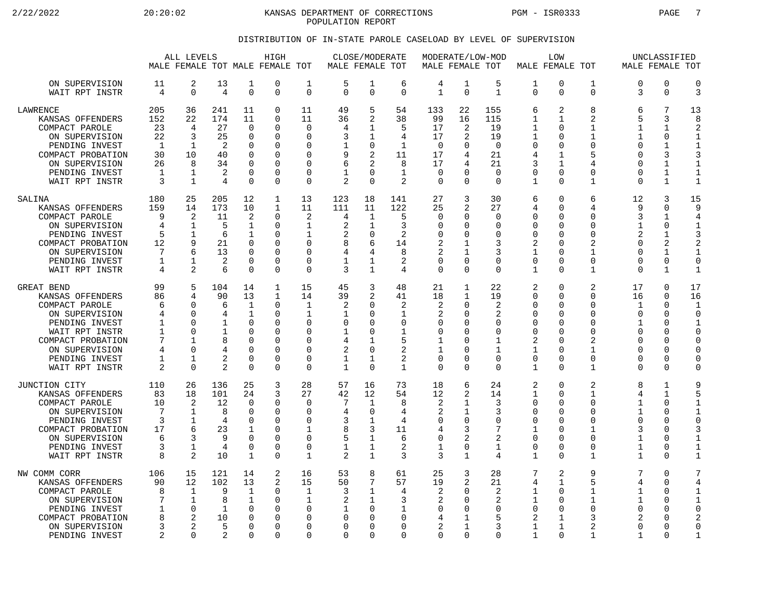2/22/2022 20:20:02 20:20:02 KANSAS DEPARTMENT OF CORRECTIONS PGM - ISR0333 PAGE 7 POPULATION REPORT

## DISTRIBUTION OF IN-STATE PAROLE CASELOAD BY LEVEL OF SUPERVISION

|                                                                                                                                                                                   | ALL LEVELS<br>MALE FEMALE TOT MALE FEMALE TOT                |                                                                                             |                                                                     |                                                                                                          | HIGH                                                                              |                                                                                                    | MALE FEMALE TOT                                                                 | CLOSE/MODERATE                                                                                        |                                                                    | MALE FEMALE TOT                                            |                                                                                                        | MODERATE/LOW-MOD                                                             |                                                                                                          | <b>LOW</b><br>MALE FEMALE TOT                                         |                                                                                                          | MALE FEMALE TOT                                                                  | UNCLASSIFIED                                                                                    |                                                                                                            |
|-----------------------------------------------------------------------------------------------------------------------------------------------------------------------------------|--------------------------------------------------------------|---------------------------------------------------------------------------------------------|---------------------------------------------------------------------|----------------------------------------------------------------------------------------------------------|-----------------------------------------------------------------------------------|----------------------------------------------------------------------------------------------------|---------------------------------------------------------------------------------|-------------------------------------------------------------------------------------------------------|--------------------------------------------------------------------|------------------------------------------------------------|--------------------------------------------------------------------------------------------------------|------------------------------------------------------------------------------|----------------------------------------------------------------------------------------------------------|-----------------------------------------------------------------------|----------------------------------------------------------------------------------------------------------|----------------------------------------------------------------------------------|-------------------------------------------------------------------------------------------------|------------------------------------------------------------------------------------------------------------|
| ON SUPERVISION<br>WAIT RPT INSTR                                                                                                                                                  | 11<br>4                                                      | 2<br>$\Omega$                                                                               | 13<br>4                                                             | 1<br>$\mathbf 0$                                                                                         | 0<br>0                                                                            | 1<br>$\Omega$                                                                                      | 5<br>$\Omega$                                                                   | 1<br>$\Omega$                                                                                         | 6<br>$\Omega$                                                      | 4<br>$\mathbf{1}$                                          | $\mathbf 1$<br>$\Omega$                                                                                | 5<br>$\mathbf{1}$                                                            | 1<br>$\Omega$                                                                                            | 0<br>0                                                                | $\mathbf 1$<br>$\Omega$                                                                                  | 0<br>3                                                                           | $\mathbf 0$<br>$\Omega$                                                                         | $\mathbf 0$<br>3                                                                                           |
| LAWRENCE<br>KANSAS OFFENDERS<br>COMPACT PAROLE<br>ON SUPERVISION<br>PENDING INVEST<br>COMPACT PROBATION<br>ON SUPERVISION<br>PENDING INVEST<br>WAIT RPT INSTR                     | 205<br>152<br>23<br>22<br>$\mathbf{1}$<br>30<br>26<br>1<br>3 | 36<br>22<br>4<br>3<br>-1<br>10<br>8<br>1<br>$\mathbf 1$                                     | 241<br>174<br>27<br>25<br>$\overline{2}$<br>40<br>34<br>2<br>4      | 11<br>11<br>$\Omega$<br>$\mathbf 0$<br>$\Omega$<br>$\Omega$<br>$\Omega$<br>$\Omega$<br>$\Omega$          | 0<br>0<br>$\Omega$<br>O<br>0<br>O<br>0<br>0<br>0                                  | 11<br>11<br>$\Omega$<br>$\mathbf 0$<br>$\Omega$<br>$\Omega$<br>$\Omega$<br>$\Omega$<br>$\mathbf 0$ | 49<br>36<br>4<br>3<br>9<br>6<br>1<br>$\overline{2}$                             | 5<br>$\overline{2}$<br>1<br>1<br>$\mathbf 0$<br>2<br>$\overline{2}$<br>$\Omega$<br>$\Omega$           | 54<br>38<br>5<br>4<br>$\mathbf{1}$<br>11<br>8<br>$\mathbf{1}$<br>2 | 133<br>99<br>17<br>17<br>$\mathbf 0$<br>17<br>17<br>0<br>0 | 22<br>16<br>2<br>2<br><sup>0</sup><br>4<br>4<br>$\Omega$                                               | 155<br>115<br>19<br>19<br>$\overline{0}$<br>21<br>21<br>$\Omega$<br>$\Omega$ | 6<br>1<br>1<br>1<br>$\mathbf 0$<br>4<br>3<br>$\mathbf 0$<br>$\mathbf{1}$                                 | 2<br>1<br>U<br>0<br>$\Omega$<br>1<br>1<br>$\Omega$<br>0               | 8<br>$\overline{2}$<br>1<br>$\mathbf{1}$<br>$\Omega$<br>5<br>4<br>$\Omega$<br>$\mathbf{1}$               | 6<br>5<br>1<br>1<br>$\Omega$<br>U<br>0<br>0<br>0                                 | 7<br>3<br>1<br>0<br>$\mathbf{1}$<br>3<br>$\mathbf{1}$<br>1<br>$\mathbf{1}$                      | 13<br>8<br>2<br>$\mathbf 1$<br>$\mathbf{1}$<br>3<br>$\mathbf{1}$<br>$\mathbf{1}$<br>$\mathbf{1}$           |
| SALINA<br>KANSAS OFFENDERS<br>COMPACT PAROLE<br>ON SUPERVISION<br>PENDING INVEST<br>COMPACT PROBATION<br>ON SUPERVISION<br>PENDING INVEST<br>WAIT RPT INSTR                       | 180<br>159<br>9<br>4<br>5<br>12<br>7<br>1<br>4               | 25<br>14<br>2<br>$\mathbf 1$<br>$\mathbf{1}$<br>9<br>6<br>1<br>2                            | 205<br>173<br>11<br>5<br>6<br>21<br>13<br>2<br>6                    | 12<br>10<br>2<br>$\mathbf 1$<br>1<br>$\Omega$<br>$\Omega$<br>$\Omega$<br>$\Omega$                        | $\mathbf{1}$<br>1<br>0<br>0<br>O<br>0<br>O<br>0<br>0                              | 13<br>11<br>2<br>1<br>-1<br>$\Omega$<br>$\Omega$<br>$\mathbf 0$<br>$\Omega$                        | 123<br>111<br>4<br>$\overline{2}$<br>2<br>8<br>4<br>1<br>3                      | 18<br>11<br>1<br>1<br>$\Omega$<br>6<br>4<br>1<br>1                                                    | 141<br>122<br>5<br>3<br>2<br>14<br>8<br>2<br>4                     | 27<br>25<br>0<br>0<br>O<br>2<br>2<br>0<br>0                | 3<br>2<br><sup>0</sup><br><sup>0</sup><br><sup>0</sup><br>$\Omega$<br>$\cap$                           | 30<br>27<br>0<br>$\mathbf 0$<br>$\Omega$<br>3<br>3<br>0<br>$\Omega$          | 6<br>4<br>$\mathbf 0$<br>$\mathbf 0$<br>$\mathbf 0$<br>2<br>$\mathbf{1}$<br>$\mathbf 0$<br>$\mathbf{1}$  | 0<br>$\Omega$<br>$\Omega$<br>0<br>U<br>U<br>$\Omega$<br>0<br>$\Omega$ | 6<br>4<br>$\Omega$<br>$\Omega$<br>$\Omega$<br>2<br>1<br>$\mathbf 0$<br>1                                 | 12<br>9<br>ζ<br>1<br>2<br>0<br>$\Omega$<br>0<br>0                                | 3<br>$\Omega$<br>1<br>$\mathbf 0$<br>1<br>2<br>$\mathbf{1}$<br>0<br>1                           | 15<br>9<br>4<br>$\mathbf{1}$<br>3<br>$\overline{2}$<br>$\mathbf{1}$<br>$\mathbf 0$<br>$\mathbf{1}$         |
| GREAT BEND<br>KANSAS OFFENDERS<br>COMPACT PAROLE<br>ON SUPERVISION<br>PENDING INVEST<br>WAIT RPT INSTR<br>COMPACT PROBATION<br>ON SUPERVISION<br>PENDING INVEST<br>WAIT RPT INSTR | 99<br>86<br>6<br>4<br>1<br>1<br>7<br>4<br>1<br>2             | 5<br>$\overline{4}$<br>∩<br>$\Omega$<br>$\Omega$<br>∩<br>1<br>∩<br>$\mathbf{1}$<br>$\Omega$ | 104<br>90<br>6<br>4<br>$\mathbf 1$<br>1<br>8<br>2<br>$\overline{2}$ | 14<br>13<br>$\mathbf 1$<br>1<br>$\Omega$<br>$\cap$<br>$\mathbf 0$<br>$\Omega$<br>$\mathbf 0$<br>$\Omega$ | $\mathbf 1$<br>$\mathbf{1}$<br>$\Omega$<br>0<br>0<br>O<br>0<br>O<br>$\Omega$<br>0 | 15<br>14<br>$\mathbf{1}$<br>$\mathbf{1}$<br>$\Omega$<br>$\Omega$<br>0<br>$\Omega$<br>0<br>$\Omega$ | 45<br>39<br>$\overline{2}$<br>1<br>$\Omega$<br>1<br>4<br>2<br>1<br>$\mathbf{1}$ | 3<br>$\overline{2}$<br>$\Omega$<br>$\Omega$<br>$\Omega$<br>$\Omega$<br>1<br>$\Omega$<br>1<br>$\Omega$ | 48<br>41<br>2<br>1<br>0<br>1<br>5<br>2<br>2<br>$\mathbf{1}$        | 21<br>18<br>2<br>2<br>0<br>0<br>1<br>1<br>0<br>0           | 1<br>$\mathbf{1}$<br><sup>0</sup><br>$\Omega$<br>O<br><sup>0</sup><br>$\Omega$<br>$\Omega$<br>$\Omega$ | 22<br>19<br>2<br>2<br>$\mathbf 0$<br>0<br>$\mathbf{1}$<br>1<br>0<br>$\Omega$ | 2<br>$\mathbf 0$<br>$\mathbf 0$<br>0<br>$\mathbf 0$<br>$\Omega$<br>2<br>1<br>$\mathbf 0$<br>$\mathbf{1}$ | 0<br>0<br>0<br>$\Omega$<br>0<br>U<br>0<br>U<br>0<br>$\Omega$          | 2<br>$\mathbf 0$<br>$\Omega$<br>$\Omega$<br>$\Omega$<br>$\Omega$<br>2<br>1<br>0<br>$\mathbf{1}$          | 17<br>16<br>1<br>$\Omega$<br>$\mathbf{1}$<br>$\Omega$<br>0<br>O<br>0<br>$\Omega$ | 0<br>0<br>$\Omega$<br>$\Omega$<br>$\Omega$<br>$\Omega$<br>$\Omega$<br>$\Omega$<br>0<br>$\Omega$ | 17<br>16<br>$\mathbf{1}$<br>$\Omega$<br>$\mathbf{1}$<br>C<br>$\mathbf 0$<br>0<br>0<br>$\Omega$             |
| JUNCTION CITY<br>KANSAS OFFENDERS<br>COMPACT PAROLE<br>ON SUPERVISION<br>PENDING INVEST<br>COMPACT PROBATION<br>ON SUPERVISION<br>PENDING INVEST<br>WAIT RPT INSTR                | 110<br>83<br>10<br>7<br>3<br>17<br>6<br>3<br>8               | 26<br>18<br>$\overline{2}$<br>1<br>1<br>6<br>3<br>$\mathbf{1}$<br>$\overline{2}$            | 136<br>101<br>12<br>8<br>4<br>23<br>9<br>4<br>10                    | 25<br>24<br>$\Omega$<br>$\Omega$<br>$\Omega$<br>1<br>$\mathbf 0$<br>$\Omega$<br>1                        | 3<br>3<br>0<br>$\Omega$<br>0<br>0<br>0<br>O<br>0                                  | 28<br>27<br>$\Omega$<br>$\Omega$<br>$\Omega$<br>1<br>0<br>$\Omega$<br>1                            | 57<br>42<br>7<br>4<br>3<br>8<br>5<br>1<br>$\mathfrak{D}$                        | 16<br>12<br>1<br>$\Omega$<br>1<br>3<br>1<br>1<br>$\mathbf{1}$                                         | 73<br>54<br>8<br>4<br>4<br>11<br>6<br>2<br>3                       | 18<br>12<br>2<br>2<br>0<br>4<br>0<br>1<br>3                | 6<br>2<br>1<br>1<br>$\Omega$<br>3<br>2<br>$\Omega$<br>$\mathbf{1}$                                     | 24<br>14<br>3<br>3<br>0<br>7<br>2<br>1<br>4                                  | 2<br>$\mathbf 1$<br>$\mathbf 0$<br>$\mathbf 0$<br>$\mathbf 0$<br>1<br>$\mathbf 0$<br>$\mathbf 0$<br>1    | 0<br>$\Omega$<br>0<br>U<br>0<br>U<br>0<br>0<br>$\Omega$               | 2<br>$\mathbf{1}$<br>$\mathbf 0$<br>$\Omega$<br>$\Omega$<br>1<br>$\mathbf 0$<br>$\Omega$<br>$\mathbf{1}$ | 8<br>4<br>1<br>1<br>0<br>3<br>1<br>1<br>$\mathbf{1}$                             | 1<br>$\mathbf{1}$<br>$\Omega$<br>$\Omega$<br>$\Omega$<br>$\Omega$<br>0<br>$\Omega$<br>$\Omega$  | 9<br>5<br>$\mathbf{1}$<br>$\mathbf{1}$<br>$\mathbf 0$<br>3<br>$\mathbf{1}$<br>$\mathbf{1}$<br>$\mathbf{1}$ |
| NW COMM CORR<br>KANSAS OFFENDERS<br>COMPACT PAROLE<br>ON SUPERVISION<br>PENDING INVEST<br>COMPACT PROBATION<br>ON SUPERVISION<br>PENDING INVEST                                   | 106<br>90<br>8<br>7<br>1<br>8<br>3<br>2                      | 15<br>12<br>1<br>$\mathbf{1}$<br>$\Omega$<br>2<br>2<br>$\Omega$                             | 121<br>102<br>9<br>8<br>1<br>10<br>5<br>2                           | 14<br>13<br>1<br>$\mathbf 1$<br>$\Omega$<br>$\mathbf 0$<br>$\Omega$<br>$\Omega$                          | 2<br>2<br>0<br>0<br>$\Omega$<br>O<br>O<br>U                                       | 16<br>15<br>1<br><sup>0</sup><br>0<br>$\Omega$<br>$\Omega$                                         | 53<br>50<br>3<br>2<br>1<br>$\Omega$<br>O<br>∩                                   | 8<br>7<br>1<br>1<br>$\Omega$<br>$\Omega$<br>$\Omega$<br>$\Omega$                                      | 61<br>57<br>4<br>3<br>1<br>0<br>0<br>$\Omega$                      | 25<br>19<br>2<br>2<br>0<br>4<br>$\overline{a}$<br>0        | 3<br>2<br><sup>0</sup><br>$\Omega$<br><sup>0</sup><br>1<br>0                                           | 28<br>21<br>2<br>2<br>$\Omega$<br>5<br>3<br>$\Omega$                         | 7<br>4<br>1<br>1<br>0<br>2<br>1<br>1                                                                     | 2<br>1<br>$\Omega$<br>0<br>$\Omega$<br>1<br>1<br>$\Omega$             | 9<br>5<br>1<br>$\mathbf{1}$<br>$\Omega$<br>3<br>$\overline{2}$<br>1                                      | 7<br>4<br>1<br>$\mathbf{1}$<br>$\Omega$<br>2<br>$\Omega$<br>$\mathbf{1}$         | $\Omega$<br>$\Omega$<br>$\Omega$<br>$\Omega$<br>O<br>$\Omega$<br>$\Omega$<br>∩                  | 7<br>4<br>1<br>$\mathbf{1}$<br>C<br>$\overline{2}$<br>$\mathbf 0$<br>$\mathbf{1}$                          |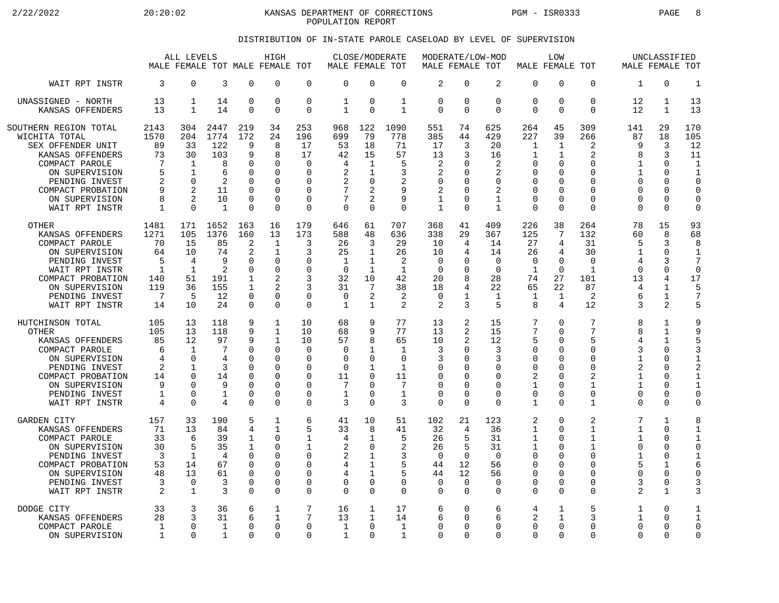2/22/2022 20:20:02 20:20:02 KANSAS DEPARTMENT OF CORRECTIONS PGM - ISR0333 PAGE 8 POPULATION REPORT

## DISTRIBUTION OF IN-STATE PAROLE CASELOAD BY LEVEL OF SUPERVISION

|                                                                                                                                                                                                |                                                              | ALL LEVELS                                                                    |                                                                       |                                                                                          | HIGH<br>MALE FEMALE TOT MALE FEMALE TOT                                                          |                                                                                               | MALE FEMALE TOT                                   |                                                                                             | CLOSE/MODERATE                                               | MODERATE/LOW-MOD<br>MALE FEMALE TOT                                                     |                                                                               |                                                                            | MALE FEMALE TOT                                                                      | LOW                                                         |                                                                                                                 |                                                                               | UNCLASSIFIED<br>MALE FEMALE TOT                                                               |                                                                                                              |
|------------------------------------------------------------------------------------------------------------------------------------------------------------------------------------------------|--------------------------------------------------------------|-------------------------------------------------------------------------------|-----------------------------------------------------------------------|------------------------------------------------------------------------------------------|--------------------------------------------------------------------------------------------------|-----------------------------------------------------------------------------------------------|---------------------------------------------------|---------------------------------------------------------------------------------------------|--------------------------------------------------------------|-----------------------------------------------------------------------------------------|-------------------------------------------------------------------------------|----------------------------------------------------------------------------|--------------------------------------------------------------------------------------|-------------------------------------------------------------|-----------------------------------------------------------------------------------------------------------------|-------------------------------------------------------------------------------|-----------------------------------------------------------------------------------------------|--------------------------------------------------------------------------------------------------------------|
| WAIT RPT INSTR                                                                                                                                                                                 | 3                                                            | 0                                                                             | 3                                                                     | $\Omega$                                                                                 | 0                                                                                                | $\mathbf 0$                                                                                   | $\Omega$                                          | $\Omega$                                                                                    | $\mathbf 0$                                                  | $\overline{2}$                                                                          | $\Omega$                                                                      | 2                                                                          | $\mathbf 0$                                                                          | 0                                                           | $\Omega$                                                                                                        | 1                                                                             | $\Omega$                                                                                      | $\mathbf{1}$                                                                                                 |
| UNASSIGNED - NORTH                                                                                                                                                                             | 13                                                           | 1                                                                             | 14                                                                    | $\mathbf 0$                                                                              | $\mathbf 0$                                                                                      | $\mathbf 0$                                                                                   | 1                                                 | $\mathbf 0$                                                                                 | $\mathbf 1$                                                  | 0                                                                                       | 0                                                                             | $\mathbf 0$                                                                | $\mathbf 0$                                                                          | 0                                                           | $\mathbf 0$                                                                                                     | 12                                                                            | $\mathbf{1}$                                                                                  | 13                                                                                                           |
| KANSAS OFFENDERS                                                                                                                                                                               | 13                                                           | $\mathbf{1}$                                                                  | 14                                                                    | $\Omega$                                                                                 | $\Omega$                                                                                         | $\Omega$                                                                                      | $\mathbf{1}$                                      | $\Omega$                                                                                    | $\mathbf{1}$                                                 | $\Omega$                                                                                | $\Omega$                                                                      | $\Omega$                                                                   | $\Omega$                                                                             | 0                                                           | $\Omega$                                                                                                        | 12                                                                            | $\mathbf{1}$                                                                                  | 13                                                                                                           |
| SOUTHERN REGION TOTAL<br>WICHITA TOTAL<br>SEX OFFENDER UNIT<br>KANSAS OFFENDERS<br>COMPACT PAROLE<br>ON SUPERVISION<br>PENDING INVEST<br>COMPACT PROBATION<br>ON SUPERVISION<br>WAIT RPT INSTR | 2143<br>1570<br>89<br>73<br>7<br>5<br>2<br>8<br>$\mathbf{1}$ | 304<br>204<br>33<br>30<br>1<br>$\mathbf{1}$<br>$\Omega$<br>2<br>2<br>$\Omega$ | 2447<br>1774<br>122<br>103<br>8<br>6<br>2<br>11<br>10<br>$\mathbf{1}$ | 219<br>172<br>9<br>9<br>0<br>$\Omega$<br>$\Omega$<br>$\mathbf 0$<br>$\Omega$<br>$\Omega$ | 34<br>24<br>8<br>8<br>$\mathbf 0$<br>$\Omega$<br>$\mathbf 0$<br>$\Omega$<br>$\Omega$<br>$\Omega$ | 253<br>196<br>17<br>17<br>$\mathbf 0$<br>$\Omega$<br>0<br>$\mathbf 0$<br>$\Omega$<br>$\Omega$ | 968<br>699<br>53<br>42<br>4<br>2<br>2<br>$\Omega$ | 122<br>79<br>18<br>15<br>1<br>1<br>$\Omega$<br>$\overline{a}$<br>$\overline{2}$<br>$\Omega$ | 1090<br>778<br>71<br>57<br>5<br>3<br>2<br>9<br>9<br>$\Omega$ | 551<br>385<br>17<br>13<br>2<br>$\overline{2}$<br>0<br>2<br>$\mathbf{1}$<br>$\mathbf{1}$ | 74<br>44<br>3<br>3<br>∩<br><sup>0</sup><br>∩<br><sup>0</sup><br>∩<br>$\Omega$ | 625<br>429<br>20<br>16<br>2<br>2<br>0<br>2<br>$\mathbf{1}$<br>$\mathbf{1}$ | 264<br>227<br>$\mathbf 1$<br>1<br>0<br>0<br>0<br>$\mathbf 0$<br>$\Omega$<br>$\Omega$ | 45<br>39<br>1<br>$\mathbf{1}$<br>0<br>O<br>U<br>0<br>0<br>0 | 309<br>266<br>$\overline{2}$<br>$\overline{2}$<br>$\Omega$<br>O<br>$\Omega$<br>$\Omega$<br>$\Omega$<br>$\Omega$ | 141<br>87<br>9<br>8<br>1<br>1<br>$\Omega$<br>$\Omega$<br>$\Omega$<br>$\Omega$ | 29<br>18<br>3<br>3<br>$\mathbf 0$<br>$\Omega$<br>$\Omega$<br>$\Omega$<br>$\Omega$<br>$\Omega$ | 170<br>105<br>12<br>11<br>$\mathbf{1}$<br>$\mathbf{1}$<br>$\Omega$<br>$\mathbf 0$<br>$\mathbf 0$<br>$\Omega$ |
| <b>OTHER</b>                                                                                                                                                                                   | 1481                                                         | 171                                                                           | 1652                                                                  | 163                                                                                      | 16                                                                                               | 179                                                                                           | 646                                               | 61                                                                                          | 707                                                          | 368                                                                                     | 41                                                                            | 409                                                                        | 226                                                                                  | 38                                                          | 264                                                                                                             | 78                                                                            | 15                                                                                            | 93                                                                                                           |
| KANSAS OFFENDERS                                                                                                                                                                               | 1271                                                         | 105                                                                           | 1376                                                                  | 160                                                                                      | 13                                                                                               | 173                                                                                           | 588                                               | 48                                                                                          | 636                                                          | 338                                                                                     | 29                                                                            | 367                                                                        | 125                                                                                  | 7                                                           | 132                                                                                                             | 60                                                                            | 8                                                                                             | 68                                                                                                           |
| COMPACT PAROLE                                                                                                                                                                                 | 70                                                           | 15                                                                            | 85                                                                    | 2                                                                                        | 1                                                                                                | 3                                                                                             | 26                                                | 3                                                                                           | 29                                                           | 10                                                                                      | 4                                                                             | 14                                                                         | 27                                                                                   | 4                                                           | 31                                                                                                              | 5                                                                             | 3                                                                                             | 8                                                                                                            |
| ON SUPERVISION                                                                                                                                                                                 | 64                                                           | 10                                                                            | 74                                                                    | $\overline{2}$                                                                           | 1                                                                                                | 3                                                                                             | 25                                                | 1                                                                                           | 26                                                           | 10                                                                                      | 4                                                                             | 14                                                                         | 26                                                                                   | 4                                                           | 30                                                                                                              | 1                                                                             | $\Omega$                                                                                      | $\mathbf{1}$                                                                                                 |
| PENDING INVEST                                                                                                                                                                                 | 5                                                            | 4                                                                             | 9                                                                     | 0                                                                                        | $\mathbf 0$                                                                                      | $\mathbf 0$                                                                                   | 1                                                 | $\mathbf 1$                                                                                 | 2                                                            | 0                                                                                       | ∩                                                                             | $\mathbf 0$                                                                | $\mathbf 0$                                                                          | 0                                                           | $\Omega$                                                                                                        | 4                                                                             | 3                                                                                             | 7                                                                                                            |
| WAIT RPT INSTR                                                                                                                                                                                 | $\mathbf{1}$                                                 | $\mathbf{1}$                                                                  | 2                                                                     | $\Omega$                                                                                 | $\Omega$                                                                                         | $\Omega$                                                                                      | $\Omega$                                          | $\mathbf{1}$                                                                                | $\mathbf{1}$                                                 | $\Omega$                                                                                | <sup>0</sup>                                                                  | $\Omega$                                                                   | $\mathbf{1}$                                                                         | $\Omega$                                                    | $\mathbf{1}$                                                                                                    | $\Omega$                                                                      | $\Omega$                                                                                      | $\mathbf 0$                                                                                                  |
| COMPACT PROBATION                                                                                                                                                                              | 140                                                          | 51                                                                            | 191                                                                   | 1                                                                                        | 2                                                                                                | 3                                                                                             | 32                                                | 10                                                                                          | 42                                                           | 20                                                                                      | 8                                                                             | 28                                                                         | 74                                                                                   | 27                                                          | 101                                                                                                             | 13                                                                            | 4                                                                                             | 17                                                                                                           |
| ON SUPERVISION                                                                                                                                                                                 | 119                                                          | 36                                                                            | 155                                                                   | $\mathbf{1}$                                                                             | $\mathfrak{D}$                                                                                   | 3                                                                                             | 31                                                | $7\phantom{.0}$                                                                             | 38                                                           | 18                                                                                      | $\overline{4}$                                                                | 22                                                                         | 65                                                                                   | 22                                                          | 87                                                                                                              | 4                                                                             | $\mathbf{1}$                                                                                  | 5                                                                                                            |
| PENDING INVEST                                                                                                                                                                                 | 7                                                            | 5                                                                             | 12                                                                    | $\Omega$                                                                                 | $\Omega$                                                                                         | $\Omega$                                                                                      | $\Omega$                                          | 2                                                                                           | 2                                                            | $\Omega$                                                                                | 1                                                                             | 1                                                                          | 1                                                                                    | 1                                                           | 2                                                                                                               | 6                                                                             | $\mathbf{1}$                                                                                  | $\overline{7}$                                                                                               |
| WAIT RPT INSTR                                                                                                                                                                                 | 14                                                           | 10                                                                            | 24                                                                    | $\Omega$                                                                                 | $\Omega$                                                                                         | 0                                                                                             | 1                                                 | $\mathbf{1}$                                                                                | 2                                                            | 2                                                                                       | 3                                                                             | 5                                                                          | 8                                                                                    | 4                                                           | 12                                                                                                              | 3                                                                             | 2                                                                                             | 5                                                                                                            |
| HUTCHINSON TOTAL                                                                                                                                                                               | 105                                                          | 13                                                                            | 118                                                                   | 9                                                                                        | $\mathbf{1}$                                                                                     | 10                                                                                            | 68                                                | 9                                                                                           | 77                                                           | 13                                                                                      | 2                                                                             | 15                                                                         | 7                                                                                    | 0                                                           | 7                                                                                                               | 8                                                                             | $\mathbf{1}$                                                                                  | 9                                                                                                            |
| <b>OTHER</b>                                                                                                                                                                                   | 105                                                          | 13                                                                            | 118                                                                   | 9                                                                                        | $\mathbf{1}$                                                                                     | 10                                                                                            | 68                                                | 9                                                                                           | 77                                                           | 13                                                                                      | 2                                                                             | 15                                                                         | 7                                                                                    | 0                                                           | 7                                                                                                               | 8                                                                             | $\mathbf{1}$                                                                                  | 9                                                                                                            |
| KANSAS OFFENDERS                                                                                                                                                                               | 85                                                           | 12                                                                            | 97                                                                    | 9                                                                                        | $\mathbf{1}$                                                                                     | 10                                                                                            | 57                                                | 8                                                                                           | 65                                                           | 10                                                                                      | 2                                                                             | 12                                                                         | 5                                                                                    | 0                                                           | 5                                                                                                               | 4                                                                             | $\mathbf{1}$                                                                                  | 5                                                                                                            |
| COMPACT PAROLE                                                                                                                                                                                 | 6                                                            | $\mathbf 1$                                                                   | 7                                                                     | $\Omega$                                                                                 | $\Omega$                                                                                         | $\mathbf 0$                                                                                   | $\Omega$                                          | $\mathbf{1}$                                                                                | $\mathbf{1}$                                                 | 3                                                                                       | $\Omega$                                                                      | 3                                                                          | $\mathbf 0$                                                                          | 0                                                           | $\Omega$                                                                                                        | 3                                                                             | $\Omega$                                                                                      | 3                                                                                                            |
| ON SUPERVISION                                                                                                                                                                                 | 4                                                            | $\Omega$                                                                      | 4                                                                     | $\Omega$                                                                                 | $\Omega$                                                                                         | $\Omega$                                                                                      | $\Omega$                                          | $\Omega$                                                                                    | $\Omega$                                                     | 3                                                                                       | ∩                                                                             | 3                                                                          | $\Omega$                                                                             | O                                                           | $\Omega$                                                                                                        | $\mathbf{1}$                                                                  | $\Omega$                                                                                      | $\mathbf{1}$                                                                                                 |
| PENDING INVEST                                                                                                                                                                                 | 2                                                            | $\mathbf{1}$                                                                  | 3                                                                     | $\mathbf 0$                                                                              | $\Omega$                                                                                         | 0                                                                                             | $\mathbf 0$                                       | $\mathbf{1}$                                                                                | $\mathbf 1$                                                  | 0                                                                                       | $\Omega$                                                                      | 0                                                                          | $\mathbf 0$                                                                          | 0                                                           | $\Omega$                                                                                                        | 2                                                                             | 0                                                                                             | $\overline{2}$                                                                                               |
| COMPACT PROBATION                                                                                                                                                                              | 14                                                           | $\Omega$                                                                      | 14                                                                    | O                                                                                        | $\Omega$                                                                                         | $\Omega$                                                                                      | 11                                                | $\Omega$                                                                                    | 11                                                           | $\Omega$                                                                                | ∩                                                                             | $\Omega$                                                                   | 2                                                                                    | 0                                                           | $\mathfrak{D}$                                                                                                  | 1                                                                             | $\Omega$                                                                                      | $\mathbf{1}$                                                                                                 |
| ON SUPERVISION                                                                                                                                                                                 | 9                                                            | U                                                                             | 9                                                                     | $\Omega$                                                                                 | $\Omega$                                                                                         | $\Omega$                                                                                      | 7                                                 | $\Omega$                                                                                    | 7                                                            | $\Omega$                                                                                | $\Omega$                                                                      | $\Omega$                                                                   | 1                                                                                    | 0                                                           | $\mathbf{1}$                                                                                                    | $\mathbf 1$                                                                   | $\Omega$                                                                                      | $\mathbf{1}$                                                                                                 |
| PENDING INVEST                                                                                                                                                                                 | 1                                                            | 0                                                                             | $\mathbf{1}$                                                          | 0                                                                                        | 0                                                                                                | $\mathbf 0$                                                                                   | 1                                                 | $\Omega$                                                                                    | $\mathbf 1$                                                  | 0                                                                                       | $\Omega$                                                                      | 0                                                                          | $\mathbf 0$                                                                          | 0                                                           | $\Omega$                                                                                                        | 0                                                                             | $\Omega$                                                                                      | $\mathbf 0$                                                                                                  |
| WAIT RPT INSTR                                                                                                                                                                                 | 4                                                            | $\Omega$                                                                      | 4                                                                     | $\Omega$                                                                                 | $\Omega$                                                                                         | 0                                                                                             | 3                                                 | $\Omega$                                                                                    | 3                                                            | 0                                                                                       | $\Omega$                                                                      | $\mathbf 0$                                                                | $\mathbf{1}$                                                                         | 0                                                           | 1                                                                                                               | $\Omega$                                                                      | $\Omega$                                                                                      | $\mathbf 0$                                                                                                  |
| <b>GARDEN CITY</b>                                                                                                                                                                             | 157                                                          | 33                                                                            | 190                                                                   | 5                                                                                        | $\mathbf{1}$                                                                                     | 6                                                                                             | 41                                                | 10                                                                                          | 51                                                           | 102                                                                                     | 21                                                                            | 123                                                                        | 2                                                                                    | 0                                                           | 2                                                                                                               | 7                                                                             | $\mathbf{1}$                                                                                  | 8                                                                                                            |
| KANSAS OFFENDERS                                                                                                                                                                               | 71                                                           | 13                                                                            | 84                                                                    | 4                                                                                        | $\mathbf{1}$                                                                                     | 5                                                                                             | 33                                                | 8                                                                                           | 41                                                           | 32                                                                                      | 4                                                                             | 36                                                                         | $\mathbf{1}$                                                                         | 0                                                           | $\mathbf{1}$                                                                                                    | $\mathbf{1}$                                                                  | $\Omega$                                                                                      | $\mathbf{1}$                                                                                                 |
| COMPACT PAROLE                                                                                                                                                                                 | 33                                                           | 6                                                                             | 39                                                                    | 1                                                                                        | $\Omega$                                                                                         | 1                                                                                             | 4                                                 | 1                                                                                           | 5                                                            | 26                                                                                      | 5                                                                             | 31                                                                         | 1                                                                                    | 0                                                           | 1                                                                                                               | $\mathbf{1}$                                                                  | $\Omega$                                                                                      | $\mathbf{1}$                                                                                                 |
| ON SUPERVISION                                                                                                                                                                                 | 30                                                           | 5                                                                             | 35                                                                    | $\mathbf{1}$                                                                             | $\mathbf 0$                                                                                      | 1                                                                                             | $\overline{2}$                                    | $\mathbf 0$                                                                                 | $\overline{2}$                                               | 26                                                                                      | 5                                                                             | 31                                                                         | $\mathbf{1}$                                                                         | 0                                                           | 1                                                                                                               | $\Omega$                                                                      | $\Omega$                                                                                      | $\mathbf 0$                                                                                                  |
| PENDING INVEST                                                                                                                                                                                 | 3                                                            | 1                                                                             | 4                                                                     | $\Omega$                                                                                 | $\Omega$                                                                                         | 0                                                                                             | 2                                                 | 1                                                                                           | 3                                                            | $\Omega$                                                                                | ∩                                                                             | $\Omega$                                                                   | $\mathbf 0$                                                                          | 0                                                           | $\Omega$                                                                                                        | 1                                                                             | $\Omega$                                                                                      | $\mathbf 1$                                                                                                  |
| COMPACT PROBATION                                                                                                                                                                              | 53                                                           | 14                                                                            | 67                                                                    | $\Omega$                                                                                 | $\mathbf 0$                                                                                      | $\mathbf 0$                                                                                   | 4                                                 | $\mathbf{1}$                                                                                | 5                                                            | 44                                                                                      | 12                                                                            | 56                                                                         | $\mathbf 0$                                                                          | 0                                                           | $\Omega$                                                                                                        | 5                                                                             | $\mathbf{1}$                                                                                  | 6                                                                                                            |
| ON SUPERVISION                                                                                                                                                                                 | 48                                                           | 13                                                                            | 61                                                                    | $\Omega$                                                                                 | $\Omega$                                                                                         | $\Omega$                                                                                      | 4                                                 | $\mathbf{1}$                                                                                | 5                                                            | 44                                                                                      | 12                                                                            | 56                                                                         | $\Omega$                                                                             | 0                                                           | $\Omega$                                                                                                        | $\Omega$                                                                      | $\Omega$                                                                                      | $\mathbf 0$                                                                                                  |
| PENDING INVEST                                                                                                                                                                                 | 3                                                            | 0                                                                             | 3                                                                     | $\mathbf 0$                                                                              | $\mathbf 0$                                                                                      | 0                                                                                             | $\Omega$                                          | $\mathbf 0$                                                                                 | 0                                                            | 0                                                                                       | $\mathbf 0$                                                                   | $\mathbf 0$                                                                | $\mathbf 0$                                                                          | 0                                                           | $\mathbf 0$                                                                                                     | 3                                                                             | 0                                                                                             | 3                                                                                                            |
| WAIT RPT INSTR                                                                                                                                                                                 | $\overline{2}$                                               | $\mathbf{1}$                                                                  | 3                                                                     | $\Omega$                                                                                 | $\Omega$                                                                                         | $\Omega$                                                                                      | $\Omega$                                          | $\Omega$                                                                                    | $\Omega$                                                     | $\Omega$                                                                                | $\Omega$                                                                      | $\Omega$                                                                   | $\Omega$                                                                             | 0                                                           | $\Omega$                                                                                                        | $\overline{a}$                                                                | $\mathbf{1}$                                                                                  | 3                                                                                                            |
| DODGE CITY                                                                                                                                                                                     | 33                                                           | 3                                                                             | 36                                                                    | 6                                                                                        | 1                                                                                                | 7                                                                                             | 16                                                | 1                                                                                           | 17                                                           | 6                                                                                       | $\Omega$                                                                      | 6                                                                          | 4                                                                                    | $\mathbf{1}$                                                | 5                                                                                                               | $\mathbf 1$                                                                   | $\Omega$                                                                                      | $\mathbf{1}$                                                                                                 |
| KANSAS OFFENDERS                                                                                                                                                                               | 28                                                           | ζ                                                                             | 31                                                                    | б                                                                                        | $\mathbf{1}$                                                                                     | 7                                                                                             | 13                                                | 1                                                                                           | 14                                                           | 6                                                                                       | $\Omega$                                                                      | 6                                                                          | 2                                                                                    | $\mathbf{1}$                                                | 3                                                                                                               | $\mathbf{1}$                                                                  | $\Omega$                                                                                      | $\mathbf 1$                                                                                                  |
| COMPACT PAROLE                                                                                                                                                                                 | $\mathbf{1}$                                                 | 0                                                                             | $\mathbf{1}$                                                          | $\Omega$                                                                                 | $\Omega$                                                                                         | 0                                                                                             | 1                                                 | $\Omega$                                                                                    | $\mathbf{1}$                                                 | 0                                                                                       | ∩                                                                             | $\Omega$                                                                   | $\Omega$                                                                             | 0                                                           | $\Omega$                                                                                                        | $\Omega$                                                                      | $\Omega$                                                                                      | $\mathbf 0$                                                                                                  |
| ON SUPERVISION                                                                                                                                                                                 | 1                                                            | $\Omega$                                                                      | 1                                                                     | O                                                                                        | $\Omega$                                                                                         | $\Omega$                                                                                      | 1                                                 | $\Omega$                                                                                    | $\mathbf{1}$                                                 | $\Omega$                                                                                | $\Omega$                                                                      | $\Omega$                                                                   | $\Omega$                                                                             | 0                                                           | $\Omega$                                                                                                        | <sup>0</sup>                                                                  | $\Omega$                                                                                      | $\mathbf 0$                                                                                                  |